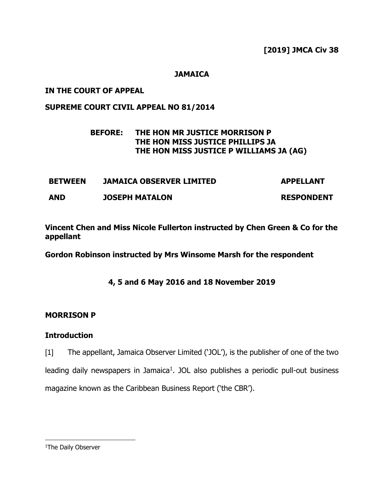### **JAMAICA**

### **IN THE COURT OF APPEAL**

### **SUPREME COURT CIVIL APPEAL NO 81/2014**

# **BEFORE: THE HON MR JUSTICE MORRISON P THE HON MISS JUSTICE PHILLIPS JA THE HON MISS JUSTICE P WILLIAMS JA (AG)**

| <b>BETWEEN</b> | <b>JAMAICA OBSERVER LIMITED</b> | <b>APPELLANT</b>  |
|----------------|---------------------------------|-------------------|
| <b>AND</b>     | <b>JOSEPH MATALON</b>           | <b>RESPONDENT</b> |

**Vincent Chen and Miss Nicole Fullerton instructed by Chen Green & Co for the appellant**

**Gordon Robinson instructed by Mrs Winsome Marsh for the respondent** 

**4, 5 and 6 May 2016 and 18 November 2019**

# **MORRISON P**

### **Introduction**

[1] The appellant, Jamaica Observer Limited ('JOL'), is the publisher of one of the two leading daily newspapers in Jamaica<sup>1</sup>. JOL also publishes a periodic pull-out business magazine known as the Caribbean Business Report ('the CBR').

<sup>&</sup>lt;sup>1</sup>The Daily Observer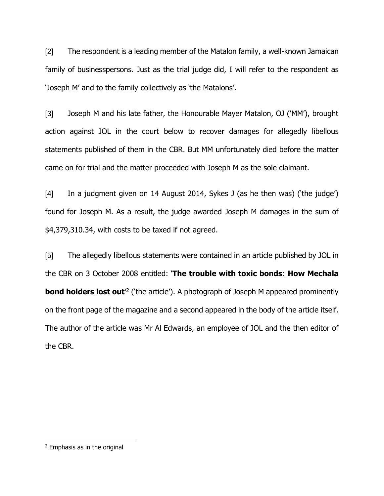[2] The respondent is a leading member of the Matalon family, a well-known Jamaican family of businesspersons. Just as the trial judge did, I will refer to the respondent as 'Joseph M' and to the family collectively as 'the Matalons'.

[3] Joseph M and his late father, the Honourable Mayer Matalon, OJ ('MM'), brought action against JOL in the court below to recover damages for allegedly libellous statements published of them in the CBR. But MM unfortunately died before the matter came on for trial and the matter proceeded with Joseph M as the sole claimant.

[4] In a judgment given on 14 August 2014, Sykes J (as he then was) ('the judge') found for Joseph M. As a result, the judge awarded Joseph M damages in the sum of \$4,379,310.34, with costs to be taxed if not agreed.

[5] The allegedly libellous statements were contained in an article published by JOL in the CBR on 3 October 2008 entitled: '**The trouble with toxic bonds**: **How Mechala bond holders lost out**<sup>2</sup> ('the article'). A photograph of Joseph M appeared prominently on the front page of the magazine and a second appeared in the body of the article itself. The author of the article was Mr Al Edwards, an employee of JOL and the then editor of the CBR.

<sup>2</sup> Emphasis as in the original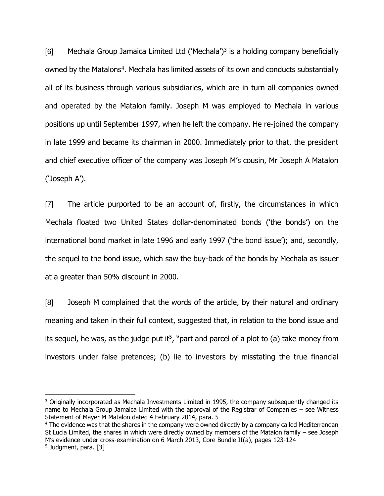[6] Mechala Group Jamaica Limited Ltd ('Mechala')<sup>3</sup> is a holding company beneficially owned by the Matalons<sup>4</sup>. Mechala has limited assets of its own and conducts substantially all of its business through various subsidiaries, which are in turn all companies owned and operated by the Matalon family. Joseph M was employed to Mechala in various positions up until September 1997, when he left the company. He re-joined the company in late 1999 and became its chairman in 2000. Immediately prior to that, the president and chief executive officer of the company was Joseph M's cousin, Mr Joseph A Matalon ('Joseph A').

[7] The article purported to be an account of, firstly, the circumstances in which Mechala floated two United States dollar-denominated bonds ('the bonds') on the international bond market in late 1996 and early 1997 ('the bond issue'); and, secondly, the sequel to the bond issue, which saw the buy-back of the bonds by Mechala as issuer at a greater than 50% discount in 2000.

[8] Joseph M complained that the words of the article, by their natural and ordinary meaning and taken in their full context, suggested that, in relation to the bond issue and its sequel, he was, as the judge put it<sup>5</sup>, "part and parcel of a plot to (a) take money from investors under false pretences; (b) lie to investors by misstating the true financial

<sup>4</sup> The evidence was that the shares in the company were owned directly by a company called Mediterranean St Lucia Limited, the shares in which were directly owned by members of the Matalon family – see Joseph M's evidence under cross-examination on 6 March 2013, Core Bundle II(a), pages 123-124 5 Judgment, para. [3]

<sup>&</sup>lt;sup>3</sup> Originally incorporated as Mechala Investments Limited in 1995, the company subsequently changed its name to Mechala Group Jamaica Limited with the approval of the Registrar of Companies – see Witness Statement of Mayer M Matalon dated 4 February 2014, para. 5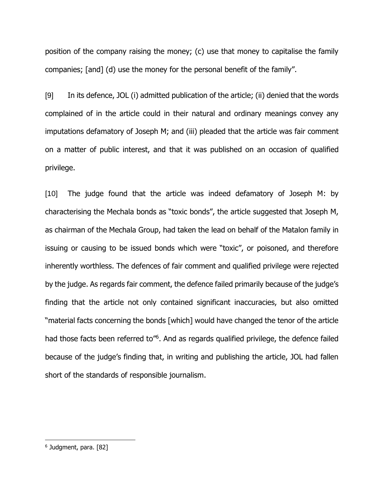position of the company raising the money; (c) use that money to capitalise the family companies; [and] (d) use the money for the personal benefit of the family".

[9] In its defence, JOL (i) admitted publication of the article; (ii) denied that the words complained of in the article could in their natural and ordinary meanings convey any imputations defamatory of Joseph M; and (iii) pleaded that the article was fair comment on a matter of public interest, and that it was published on an occasion of qualified privilege.

[10] The judge found that the article was indeed defamatory of Joseph M: by characterising the Mechala bonds as "toxic bonds", the article suggested that Joseph M, as chairman of the Mechala Group, had taken the lead on behalf of the Matalon family in issuing or causing to be issued bonds which were "toxic", or poisoned, and therefore inherently worthless. The defences of fair comment and qualified privilege were rejected by the judge. As regards fair comment, the defence failed primarily because of the judge's finding that the article not only contained significant inaccuracies, but also omitted "material facts concerning the bonds [which] would have changed the tenor of the article had those facts been referred to<sup>n6</sup>. And as regards qualified privilege, the defence failed because of the judge's finding that, in writing and publishing the article, JOL had fallen short of the standards of responsible journalism.

<sup>6</sup> Judgment, para. [82]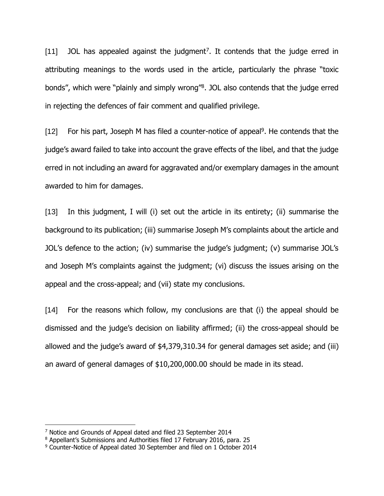[11] JOL has appealed against the judgment<sup>7</sup>. It contends that the judge erred in attributing meanings to the words used in the article, particularly the phrase "toxic bonds", which were "plainly and simply wrong"<sup>8</sup>. JOL also contends that the judge erred in rejecting the defences of fair comment and qualified privilege.

[12] For his part, Joseph M has filed a counter-notice of appeal<sup>9</sup>. He contends that the judge's award failed to take into account the grave effects of the libel, and that the judge erred in not including an award for aggravated and/or exemplary damages in the amount awarded to him for damages.

[13] In this judgment, I will (i) set out the article in its entirety; (ii) summarise the background to its publication; (iii) summarise Joseph M's complaints about the article and JOL's defence to the action; (iv) summarise the judge's judgment; (v) summarise JOL's and Joseph M's complaints against the judgment; (vi) discuss the issues arising on the appeal and the cross-appeal; and (vii) state my conclusions.

[14] For the reasons which follow, my conclusions are that (i) the appeal should be dismissed and the judge's decision on liability affirmed; (ii) the cross-appeal should be allowed and the judge's award of \$4,379,310.34 for general damages set aside; and (iii) an award of general damages of \$10,200,000.00 should be made in its stead.

<sup>7</sup> Notice and Grounds of Appeal dated and filed 23 September 2014

<sup>8</sup> Appellant's Submissions and Authorities filed 17 February 2016, para. 25

<sup>9</sup> Counter-Notice of Appeal dated 30 September and filed on 1 October 2014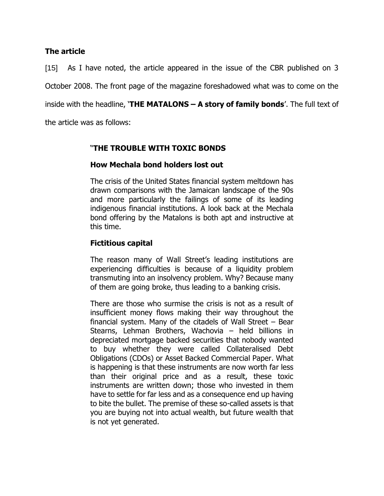### **The article**

[15] As I have noted, the article appeared in the issue of the CBR published on 3 October 2008. The front page of the magazine foreshadowed what was to come on the inside with the headline, '**THE MATALONS – A story of family bonds**'. The full text of

the article was as follows:

# "**THE TROUBLE WITH TOXIC BONDS**

# **How Mechala bond holders lost out**

The crisis of the United States financial system meltdown has drawn comparisons with the Jamaican landscape of the 90s and more particularly the failings of some of its leading indigenous financial institutions. A look back at the Mechala bond offering by the Matalons is both apt and instructive at this time.

# **Fictitious capital**

The reason many of Wall Street's leading institutions are experiencing difficulties is because of a liquidity problem transmuting into an insolvency problem. Why? Because many of them are going broke, thus leading to a banking crisis.

There are those who surmise the crisis is not as a result of insufficient money flows making their way throughout the financial system. Many of the citadels of Wall Street – Bear Stearns, Lehman Brothers, Wachovia – held billions in depreciated mortgage backed securities that nobody wanted to buy whether they were called Collateralised Debt Obligations (CDOs) or Asset Backed Commercial Paper. What is happening is that these instruments are now worth far less than their original price and as a result, these toxic instruments are written down; those who invested in them have to settle for far less and as a consequence end up having to bite the bullet. The premise of these so-called assets is that you are buying not into actual wealth, but future wealth that is not yet generated.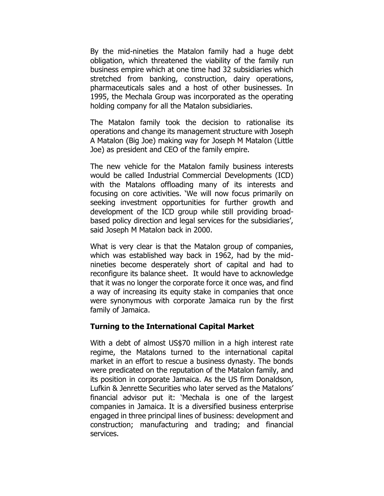By the mid-nineties the Matalon family had a huge debt obligation, which threatened the viability of the family run business empire which at one time had 32 subsidiaries which stretched from banking, construction, dairy operations, pharmaceuticals sales and a host of other businesses. In 1995, the Mechala Group was incorporated as the operating holding company for all the Matalon subsidiaries.

The Matalon family took the decision to rationalise its operations and change its management structure with Joseph A Matalon (Big Joe) making way for Joseph M Matalon (Little Joe) as president and CEO of the family empire.

The new vehicle for the Matalon family business interests would be called Industrial Commercial Developments (ICD) with the Matalons offloading many of its interests and focusing on core activities. 'We will now focus primarily on seeking investment opportunities for further growth and development of the ICD group while still providing broadbased policy direction and legal services for the subsidiaries', said Joseph M Matalon back in 2000.

What is very clear is that the Matalon group of companies, which was established way back in 1962, had by the midnineties become desperately short of capital and had to reconfigure its balance sheet. It would have to acknowledge that it was no longer the corporate force it once was, and find a way of increasing its equity stake in companies that once were synonymous with corporate Jamaica run by the first family of Jamaica.

### **Turning to the International Capital Market**

With a debt of almost US\$70 million in a high interest rate regime, the Matalons turned to the international capital market in an effort to rescue a business dynasty. The bonds were predicated on the reputation of the Matalon family, and its position in corporate Jamaica. As the US firm Donaldson, Lufkin & Jenrette Securities who later served as the Matalons' financial advisor put it: 'Mechala is one of the largest companies in Jamaica. It is a diversified business enterprise engaged in three principal lines of business: development and construction; manufacturing and trading; and financial services.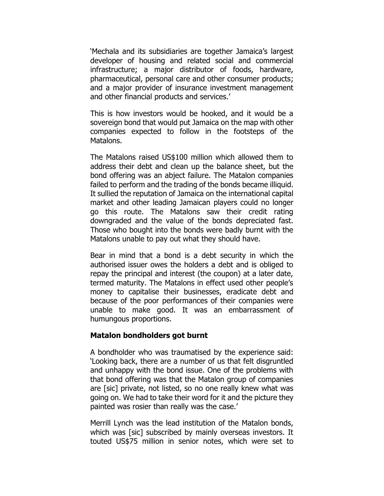'Mechala and its subsidiaries are together Jamaica's largest developer of housing and related social and commercial infrastructure; a major distributor of foods, hardware, pharmaceutical, personal care and other consumer products; and a major provider of insurance investment management and other financial products and services.'

This is how investors would be hooked, and it would be a sovereign bond that would put Jamaica on the map with other companies expected to follow in the footsteps of the Matalons.

The Matalons raised US\$100 million which allowed them to address their debt and clean up the balance sheet, but the bond offering was an abject failure. The Matalon companies failed to perform and the trading of the bonds became illiquid. It sullied the reputation of Jamaica on the international capital market and other leading Jamaican players could no longer go this route. The Matalons saw their credit rating downgraded and the value of the bonds depreciated fast. Those who bought into the bonds were badly burnt with the Matalons unable to pay out what they should have.

Bear in mind that a bond is a debt security in which the authorised issuer owes the holders a debt and is obliged to repay the principal and interest (the coupon) at a later date, termed maturity. The Matalons in effect used other people's money to capitalise their businesses, eradicate debt and because of the poor performances of their companies were unable to make good. It was an embarrassment of humungous proportions.

### **Matalon bondholders got burnt**

A bondholder who was traumatised by the experience said: 'Looking back, there are a number of us that felt disgruntled and unhappy with the bond issue. One of the problems with that bond offering was that the Matalon group of companies are [sic] private, not listed, so no one really knew what was going on. We had to take their word for it and the picture they painted was rosier than really was the case.'

Merrill Lynch was the lead institution of the Matalon bonds, which was [sic] subscribed by mainly overseas investors. It touted US\$75 million in senior notes, which were set to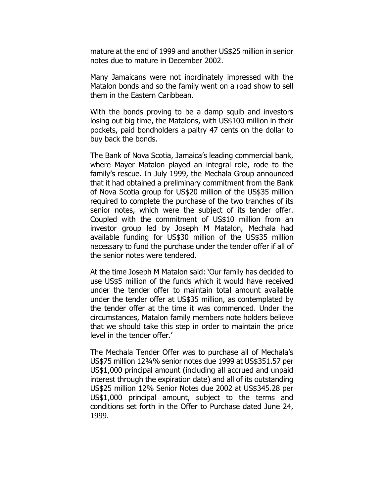mature at the end of 1999 and another US\$25 million in senior notes due to mature in December 2002.

Many Jamaicans were not inordinately impressed with the Matalon bonds and so the family went on a road show to sell them in the Eastern Caribbean.

With the bonds proving to be a damp squib and investors losing out big time, the Matalons, with US\$100 million in their pockets, paid bondholders a paltry 47 cents on the dollar to buy back the bonds.

The Bank of Nova Scotia, Jamaica's leading commercial bank, where Mayer Matalon played an integral role, rode to the family's rescue. In July 1999, the Mechala Group announced that it had obtained a preliminary commitment from the Bank of Nova Scotia group for US\$20 million of the US\$35 million required to complete the purchase of the two tranches of its senior notes, which were the subject of its tender offer. Coupled with the commitment of US\$10 million from an investor group led by Joseph M Matalon, Mechala had available funding for US\$30 million of the US\$35 million necessary to fund the purchase under the tender offer if all of the senior notes were tendered.

At the time Joseph M Matalon said: 'Our family has decided to use US\$5 million of the funds which it would have received under the tender offer to maintain total amount available under the tender offer at US\$35 million, as contemplated by the tender offer at the time it was commenced. Under the circumstances, Matalon family members note holders believe that we should take this step in order to maintain the price level in the tender offer.'

The Mechala Tender Offer was to purchase all of Mechala's US\$75 million 12¾% senior notes due 1999 at US\$351.57 per US\$1,000 principal amount (including all accrued and unpaid interest through the expiration date) and all of its outstanding US\$25 million 12% Senior Notes due 2002 at US\$345.28 per US\$1,000 principal amount, subject to the terms and conditions set forth in the Offer to Purchase dated June 24, 1999.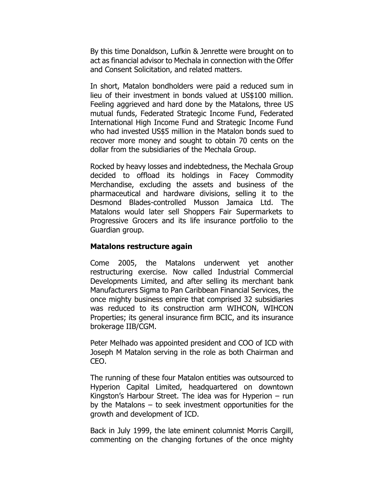By this time Donaldson, Lufkin & Jenrette were brought on to act as financial advisor to Mechala in connection with the Offer and Consent Solicitation, and related matters.

In short, Matalon bondholders were paid a reduced sum in lieu of their investment in bonds valued at US\$100 million. Feeling aggrieved and hard done by the Matalons, three US mutual funds, Federated Strategic Income Fund, Federated International High Income Fund and Strategic Income Fund who had invested US\$5 million in the Matalon bonds sued to recover more money and sought to obtain 70 cents on the dollar from the subsidiaries of the Mechala Group.

Rocked by heavy losses and indebtedness, the Mechala Group decided to offload its holdings in Facey Commodity Merchandise, excluding the assets and business of the pharmaceutical and hardware divisions, selling it to the Desmond Blades-controlled Musson Jamaica Ltd. The Matalons would later sell Shoppers Fair Supermarkets to Progressive Grocers and its life insurance portfolio to the Guardian group.

### **Matalons restructure again**

Come 2005, the Matalons underwent yet another restructuring exercise. Now called Industrial Commercial Developments Limited, and after selling its merchant bank Manufacturers Sigma to Pan Caribbean Financial Services, the once mighty business empire that comprised 32 subsidiaries was reduced to its construction arm WIHCON, WIHCON Properties; its general insurance firm BCIC, and its insurance brokerage IIB/CGM.

Peter Melhado was appointed president and COO of ICD with Joseph M Matalon serving in the role as both Chairman and CEO.

The running of these four Matalon entities was outsourced to Hyperion Capital Limited, headquartered on downtown Kingston's Harbour Street. The idea was for Hyperion – run by the Matalons – to seek investment opportunities for the growth and development of ICD.

Back in July 1999, the late eminent columnist Morris Cargill, commenting on the changing fortunes of the once mighty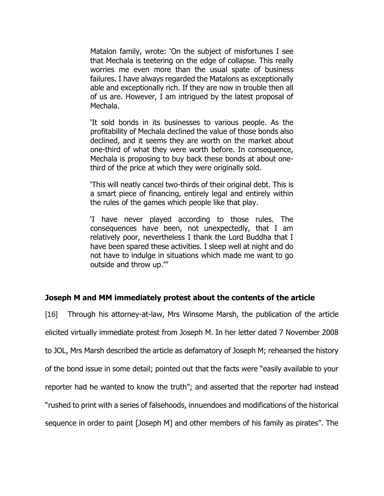Matalon family, wrote: 'On the subject of misfortunes I see that Mechala is teetering on the edge of collapse. This really worries me even more than the usual spate of business failures. I have always regarded the Matalons as exceptionally able and exceptionally rich. If they are now in trouble then all of us are. However, I am intrigued by the latest proposal of Mechala.

'It sold bonds in its businesses to various people. As the profitability of Mechala declined the value of those bonds also declined, and it seems they are worth on the market about one-third of what they were worth before. In consequence, Mechala is proposing to buy back these bonds at about onethird of the price at which they were originally sold.

'This will neatly cancel two-thirds of their original debt. This is a smart piece of financing, entirely legal and entirely within the rules of the games which people like that play.

'I have never played according to those rules. The consequences have been, not unexpectedly, that I am relatively poor, nevertheless I thank the Lord Buddha that I have been spared these activities. I sleep well at night and do not have to indulge in situations which made me want to go outside and throw up.'"

# **Joseph M and MM immediately protest about the contents of the article**

[16] Through his attorney-at-law, Mrs Winsome Marsh, the publication of the article elicited virtually immediate protest from Joseph M. In her letter dated 7 November 2008 to JOL, Mrs Marsh described the article as defamatory of Joseph M; rehearsed the history of the bond issue in some detail; pointed out that the facts were "easily available to your reporter had he wanted to know the truth"; and asserted that the reporter had instead "rushed to print with a series of falsehoods, innuendoes and modifications of the historical sequence in order to paint [Joseph M] and other members of his family as pirates". The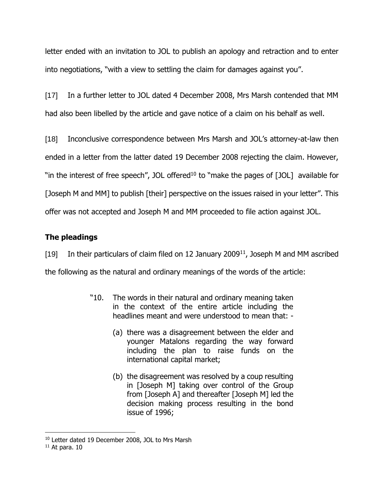letter ended with an invitation to JOL to publish an apology and retraction and to enter into negotiations, "with a view to settling the claim for damages against you".

[17] In a further letter to JOL dated 4 December 2008, Mrs Marsh contended that MM had also been libelled by the article and gave notice of a claim on his behalf as well.

[18] Inconclusive correspondence between Mrs Marsh and JOL's attorney-at-law then ended in a letter from the latter dated 19 December 2008 rejecting the claim. However, "in the interest of free speech", JOL offered<sup>10</sup> to "make the pages of  $[JOL]$  available for [Joseph M and MM] to publish [their] perspective on the issues raised in your letter". This offer was not accepted and Joseph M and MM proceeded to file action against JOL.

# **The pleadings**

[19] In their particulars of claim filed on 12 January 2009<sup>11</sup>, Joseph M and MM ascribed the following as the natural and ordinary meanings of the words of the article:

- "10. The words in their natural and ordinary meaning taken in the context of the entire article including the headlines meant and were understood to mean that: -
	- (a) there was a disagreement between the elder and younger Matalons regarding the way forward including the plan to raise funds on the international capital market;
	- (b) the disagreement was resolved by a coup resulting in [Joseph M] taking over control of the Group from [Joseph A] and thereafter [Joseph M] led the decision making process resulting in the bond issue of 1996;

<sup>&</sup>lt;sup>10</sup> Letter dated 19 December 2008, JOL to Mrs Marsh

 $11$  At para. 10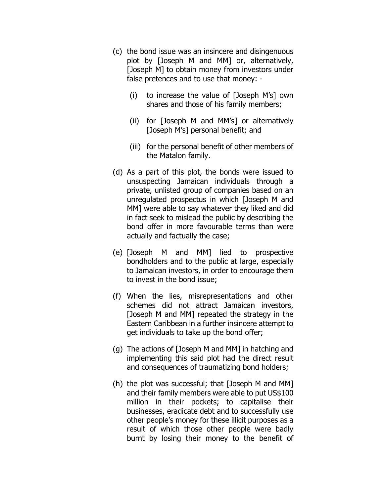- (c) the bond issue was an insincere and disingenuous plot by [Joseph M and MM] or, alternatively, [Joseph M] to obtain money from investors under false pretences and to use that money: -
	- (i) to increase the value of [Joseph M's] own shares and those of his family members;
	- (ii) for [Joseph M and MM's] or alternatively [Joseph M's] personal benefit; and
	- (iii) for the personal benefit of other members of the Matalon family.
- (d) As a part of this plot, the bonds were issued to unsuspecting Jamaican individuals through a private, unlisted group of companies based on an unregulated prospectus in which [Joseph M and MM] were able to say whatever they liked and did in fact seek to mislead the public by describing the bond offer in more favourable terms than were actually and factually the case;
- (e) [Joseph M and MM] lied to prospective bondholders and to the public at large, especially to Jamaican investors, in order to encourage them to invest in the bond issue;
- (f) When the lies, misrepresentations and other schemes did not attract Jamaican investors, [Joseph M and MM] repeated the strategy in the Eastern Caribbean in a further insincere attempt to get individuals to take up the bond offer;
- (g) The actions of [Joseph M and MM] in hatching and implementing this said plot had the direct result and consequences of traumatizing bond holders;
- (h) the plot was successful; that [Joseph M and MM] and their family members were able to put US\$100 million in their pockets; to capitalise their businesses, eradicate debt and to successfully use other people's money for these illicit purposes as a result of which those other people were badly burnt by losing their money to the benefit of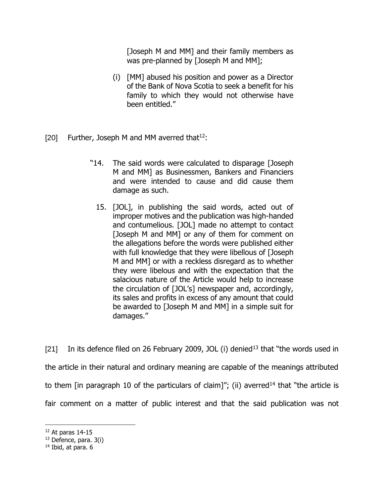[Joseph M and MM] and their family members as was pre-planned by [Joseph M and MM];

- (i) [MM] abused his position and power as a Director of the Bank of Nova Scotia to seek a benefit for his family to which they would not otherwise have been entitled."
- [20] Further, Joseph M and MM averred that  $12$ :
	- "14. The said words were calculated to disparage [Joseph M and MM] as Businessmen, Bankers and Financiers and were intended to cause and did cause them damage as such.
		- 15. [JOL], in publishing the said words, acted out of improper motives and the publication was high-handed and contumelious. [JOL] made no attempt to contact [Joseph M and MM] or any of them for comment on the allegations before the words were published either with full knowledge that they were libellous of [Joseph M and MM] or with a reckless disregard as to whether they were libelous and with the expectation that the salacious nature of the Article would help to increase the circulation of [JOL's] newspaper and, accordingly, its sales and profits in excess of any amount that could be awarded to [Joseph M and MM] in a simple suit for damages."

[21] In its defence filed on 26 February 2009, JOL (i) denied<sup>13</sup> that "the words used in the article in their natural and ordinary meaning are capable of the meanings attributed to them [in paragraph 10 of the particulars of claim]"; (ii) averred<sup>14</sup> that "the article is fair comment on a matter of public interest and that the said publication was not

 $12$  At paras 14-15

 $13$  Defence, para.  $3(i)$ 

<sup>&</sup>lt;sup>14</sup> Ibid, at para. 6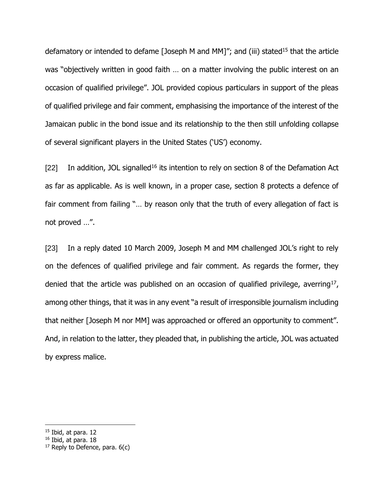defamatory or intended to defame [Joseph M and MM]"; and (iii) stated<sup>15</sup> that the article was "objectively written in good faith … on a matter involving the public interest on an occasion of qualified privilege". JOL provided copious particulars in support of the pleas of qualified privilege and fair comment, emphasising the importance of the interest of the Jamaican public in the bond issue and its relationship to the then still unfolding collapse of several significant players in the United States ('US') economy.

[22] In addition, JOL signalled<sup>16</sup> its intention to rely on section 8 of the Defamation Act as far as applicable. As is well known, in a proper case, section 8 protects a defence of fair comment from failing "... by reason only that the truth of every allegation of fact is not proved …".

[23] In a reply dated 10 March 2009, Joseph M and MM challenged JOL's right to rely on the defences of qualified privilege and fair comment. As regards the former, they denied that the article was published on an occasion of qualified privilege, averring<sup>17</sup>, among other things, that it was in any event "a result of irresponsible journalism including that neither [Joseph M nor MM] was approached or offered an opportunity to comment". And, in relation to the latter, they pleaded that, in publishing the article, JOL was actuated by express malice.

<sup>15</sup> Ibid, at para. 12

<sup>16</sup> Ibid, at para. 18

 $17$  Reply to Defence, para.  $6(c)$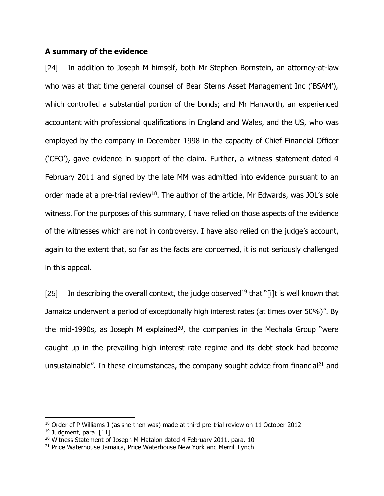#### **A summary of the evidence**

[24] In addition to Joseph M himself, both Mr Stephen Bornstein, an attorney-at-law who was at that time general counsel of Bear Sterns Asset Management Inc ('BSAM'), which controlled a substantial portion of the bonds; and Mr Hanworth, an experienced accountant with professional qualifications in England and Wales, and the US, who was employed by the company in December 1998 in the capacity of Chief Financial Officer ('CFO'), gave evidence in support of the claim. Further, a witness statement dated 4 February 2011 and signed by the late MM was admitted into evidence pursuant to an order made at a pre-trial review $^{18}$ . The author of the article, Mr Edwards, was JOL's sole witness. For the purposes of this summary, I have relied on those aspects of the evidence of the witnesses which are not in controversy. I have also relied on the judge's account, again to the extent that, so far as the facts are concerned, it is not seriously challenged in this appeal.

[25] In describing the overall context, the judge observed<sup>19</sup> that "[i]t is well known that Jamaica underwent a period of exceptionally high interest rates (at times over 50%)". By the mid-1990s, as Joseph M explained<sup>20</sup>, the companies in the Mechala Group "were caught up in the prevailing high interest rate regime and its debt stock had become unsustainable". In these circumstances, the company sought advice from financial<sup>21</sup> and

<sup>&</sup>lt;sup>18</sup> Order of P Williams J (as she then was) made at third pre-trial review on 11 October 2012 <sup>19</sup> Judament, para. [11]

<sup>&</sup>lt;sup>20</sup> Witness Statement of Joseph M Matalon dated 4 February 2011, para. 10

<sup>&</sup>lt;sup>21</sup> Price Waterhouse Jamaica, Price Waterhouse New York and Merrill Lynch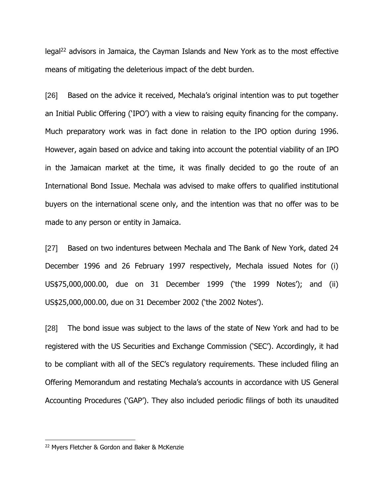legal<sup>22</sup> advisors in Jamaica, the Cayman Islands and New York as to the most effective means of mitigating the deleterious impact of the debt burden.

[26] Based on the advice it received, Mechala's original intention was to put together an Initial Public Offering ('IPO') with a view to raising equity financing for the company. Much preparatory work was in fact done in relation to the IPO option during 1996. However, again based on advice and taking into account the potential viability of an IPO in the Jamaican market at the time, it was finally decided to go the route of an International Bond Issue. Mechala was advised to make offers to qualified institutional buyers on the international scene only, and the intention was that no offer was to be made to any person or entity in Jamaica.

[27] Based on two indentures between Mechala and The Bank of New York, dated 24 December 1996 and 26 February 1997 respectively, Mechala issued Notes for (i) US\$75,000,000.00, due on 31 December 1999 ('the 1999 Notes'); and (ii) US\$25,000,000.00, due on 31 December 2002 ('the 2002 Notes').

[28] The bond issue was subject to the laws of the state of New York and had to be registered with the US Securities and Exchange Commission ('SEC'). Accordingly, it had to be compliant with all of the SEC's regulatory requirements. These included filing an Offering Memorandum and restating Mechala's accounts in accordance with US General Accounting Procedures ('GAP'). They also included periodic filings of both its unaudited

<sup>22</sup> Myers Fletcher & Gordon and Baker & McKenzie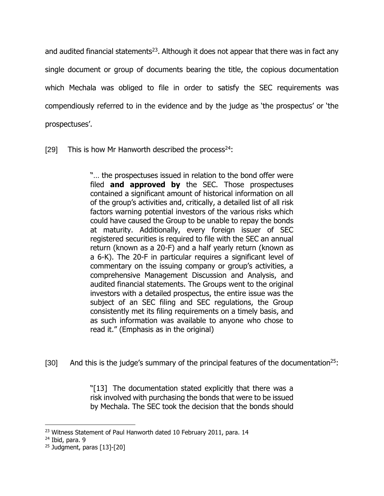and audited financial statements<sup>23</sup>. Although it does not appear that there was in fact any single document or group of documents bearing the title, the copious documentation which Mechala was obliged to file in order to satisfy the SEC requirements was compendiously referred to in the evidence and by the judge as 'the prospectus' or 'the prospectuses'.

[29] This is how Mr Hanworth described the process<sup>24</sup>:

"… the prospectuses issued in relation to the bond offer were filed **and approved by** the SEC. Those prospectuses contained a significant amount of historical information on all of the group's activities and, critically, a detailed list of all risk factors warning potential investors of the various risks which could have caused the Group to be unable to repay the bonds at maturity. Additionally, every foreign issuer of SEC registered securities is required to file with the SEC an annual return (known as a 20-F) and a half yearly return (known as a 6-K). The 20-F in particular requires a significant level of commentary on the issuing company or group's activities, a comprehensive Management Discussion and Analysis, and audited financial statements. The Groups went to the original investors with a detailed prospectus, the entire issue was the subject of an SEC filing and SEC regulations, the Group consistently met its filing requirements on a timely basis, and as such information was available to anyone who chose to read it." (Emphasis as in the original)

[30] And this is the judge's summary of the principal features of the documentation<sup>25</sup>:

"[13] The documentation stated explicitly that there was a risk involved with purchasing the bonds that were to be issued by Mechala. The SEC took the decision that the bonds should

<sup>&</sup>lt;sup>23</sup> Witness Statement of Paul Hanworth dated 10 February 2011, para. 14

 $24$  Ibid, para. 9

 $25$  Judgment, paras [13]-[20]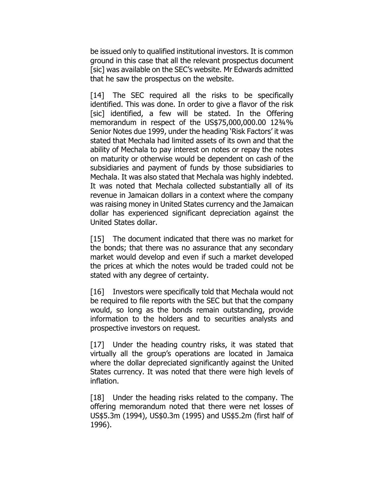be issued only to qualified institutional investors. It is common ground in this case that all the relevant prospectus document [sic] was available on the SEC's website. Mr Edwards admitted that he saw the prospectus on the website.

[14] The SEC required all the risks to be specifically identified. This was done. In order to give a flavor of the risk [sic] identified, a few will be stated. In the Offering memorandum in respect of the US\$75,000,000.00 12¾% Senior Notes due 1999, under the heading 'Risk Factors' it was stated that Mechala had limited assets of its own and that the ability of Mechala to pay interest on notes or repay the notes on maturity or otherwise would be dependent on cash of the subsidiaries and payment of funds by those subsidiaries to Mechala. It was also stated that Mechala was highly indebted. It was noted that Mechala collected substantially all of its revenue in Jamaican dollars in a context where the company was raising money in United States currency and the Jamaican dollar has experienced significant depreciation against the United States dollar.

[15] The document indicated that there was no market for the bonds; that there was no assurance that any secondary market would develop and even if such a market developed the prices at which the notes would be traded could not be stated with any degree of certainty.

[16] Investors were specifically told that Mechala would not be required to file reports with the SEC but that the company would, so long as the bonds remain outstanding, provide information to the holders and to securities analysts and prospective investors on request.

[17] Under the heading country risks, it was stated that virtually all the group's operations are located in Jamaica where the dollar depreciated significantly against the United States currency. It was noted that there were high levels of inflation.

[18] Under the heading risks related to the company. The offering memorandum noted that there were net losses of US\$5.3m (1994), US\$0.3m (1995) and US\$5.2m (first half of 1996).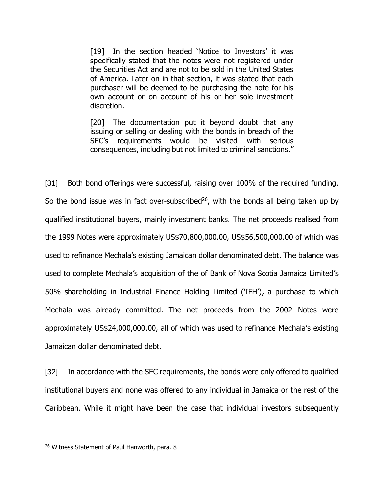[19] In the section headed 'Notice to Investors' it was specifically stated that the notes were not registered under the Securities Act and are not to be sold in the United States of America. Later on in that section, it was stated that each purchaser will be deemed to be purchasing the note for his own account or on account of his or her sole investment discretion.

[20] The documentation put it beyond doubt that any issuing or selling or dealing with the bonds in breach of the SEC's requirements would be visited with serious consequences, including but not limited to criminal sanctions."

[31] Both bond offerings were successful, raising over 100% of the required funding. So the bond issue was in fact over-subscribed<sup>26</sup>, with the bonds all being taken up by qualified institutional buyers, mainly investment banks. The net proceeds realised from the 1999 Notes were approximately US\$70,800,000.00, US\$56,500,000.00 of which was used to refinance Mechala's existing Jamaican dollar denominated debt. The balance was used to complete Mechala's acquisition of the of Bank of Nova Scotia Jamaica Limited's 50% shareholding in Industrial Finance Holding Limited ('IFH'), a purchase to which Mechala was already committed. The net proceeds from the 2002 Notes were approximately US\$24,000,000.00, all of which was used to refinance Mechala's existing Jamaican dollar denominated debt.

[32] In accordance with the SEC requirements, the bonds were only offered to qualified institutional buyers and none was offered to any individual in Jamaica or the rest of the Caribbean. While it might have been the case that individual investors subsequently

<sup>&</sup>lt;sup>26</sup> Witness Statement of Paul Hanworth, para. 8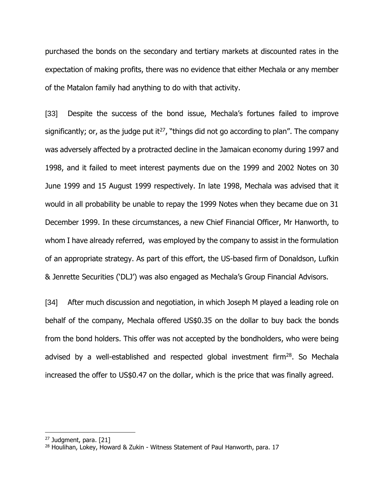purchased the bonds on the secondary and tertiary markets at discounted rates in the expectation of making profits, there was no evidence that either Mechala or any member of the Matalon family had anything to do with that activity.

[33] Despite the success of the bond issue, Mechala's fortunes failed to improve significantly; or, as the judge put it<sup>27</sup>, "things did not go according to plan". The company was adversely affected by a protracted decline in the Jamaican economy during 1997 and 1998, and it failed to meet interest payments due on the 1999 and 2002 Notes on 30 June 1999 and 15 August 1999 respectively. In late 1998, Mechala was advised that it would in all probability be unable to repay the 1999 Notes when they became due on 31 December 1999. In these circumstances, a new Chief Financial Officer, Mr Hanworth, to whom I have already referred, was employed by the company to assist in the formulation of an appropriate strategy. As part of this effort, the US-based firm of Donaldson, Lufkin & Jenrette Securities ('DLJ') was also engaged as Mechala's Group Financial Advisors.

[34] After much discussion and negotiation, in which Joseph M played a leading role on behalf of the company, Mechala offered US\$0.35 on the dollar to buy back the bonds from the bond holders. This offer was not accepted by the bondholders, who were being advised by a well-established and respected global investment firm $^{28}$ . So Mechala increased the offer to US\$0.47 on the dollar, which is the price that was finally agreed.

<sup>&</sup>lt;sup>27</sup> Judgment, para. [21]

<sup>&</sup>lt;sup>28</sup> Houlihan, Lokey, Howard & Zukin - Witness Statement of Paul Hanworth, para. 17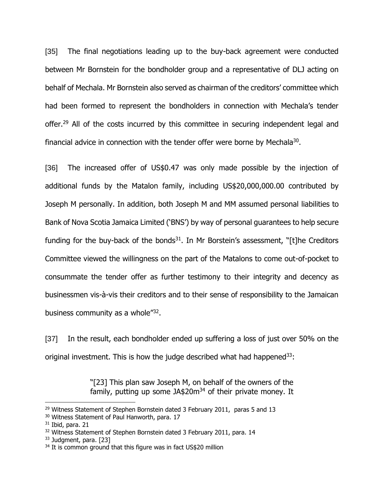[35] The final negotiations leading up to the buy-back agreement were conducted between Mr Bornstein for the bondholder group and a representative of DLJ acting on behalf of Mechala. Mr Bornstein also served as chairman of the creditors' committee which had been formed to represent the bondholders in connection with Mechala's tender offer.<sup>29</sup> All of the costs incurred by this committee in securing independent legal and financial advice in connection with the tender offer were borne by Mechala<sup>30</sup>.

[36] The increased offer of US\$0.47 was only made possible by the injection of additional funds by the Matalon family, including US\$20,000,000.00 contributed by Joseph M personally. In addition, both Joseph M and MM assumed personal liabilities to Bank of Nova Scotia Jamaica Limited ('BNS') by way of personal guarantees to help secure funding for the buy-back of the bonds<sup>31</sup>. In Mr Borstein's assessment, "[t]he Creditors Committee viewed the willingness on the part of the Matalons to come out-of-pocket to consummate the tender offer as further testimony to their integrity and decency as businessmen vis-à-vis their creditors and to their sense of responsibility to the Jamaican business community as a whole"<sup>32</sup>.

[37] In the result, each bondholder ended up suffering a loss of just over 50% on the original investment. This is how the judge described what had happened $33$ :

> "[23] This plan saw Joseph M, on behalf of the owners of the family, putting up some JA\$20 $m<sup>34</sup>$  of their private money. It

<sup>&</sup>lt;sup>29</sup> Witness Statement of Stephen Bornstein dated 3 February 2011, paras 5 and 13

<sup>30</sup> Witness Statement of Paul Hanworth, para. 17

 $31$  Ibid, para. 21

<sup>&</sup>lt;sup>32</sup> Witness Statement of Stephen Bornstein dated 3 February 2011, para. 14

<sup>33</sup> Judgment, para. [23]

<sup>&</sup>lt;sup>34</sup> It is common ground that this figure was in fact US\$20 million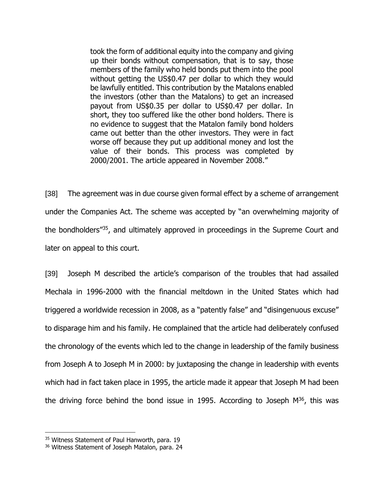took the form of additional equity into the company and giving up their bonds without compensation, that is to say, those members of the family who held bonds put them into the pool without getting the US\$0.47 per dollar to which they would be lawfully entitled. This contribution by the Matalons enabled the investors (other than the Matalons) to get an increased payout from US\$0.35 per dollar to US\$0.47 per dollar. In short, they too suffered like the other bond holders. There is no evidence to suggest that the Matalon family bond holders came out better than the other investors. They were in fact worse off because they put up additional money and lost the value of their bonds. This process was completed by 2000/2001. The article appeared in November 2008."

[38] The agreement was in due course given formal effect by a scheme of arrangement under the Companies Act. The scheme was accepted by "an overwhelming majority of the bondholders"<sup>35</sup>, and ultimately approved in proceedings in the Supreme Court and later on appeal to this court.

[39] Joseph M described the article's comparison of the troubles that had assailed Mechala in 1996-2000 with the financial meltdown in the United States which had triggered a worldwide recession in 2008, as a "patently false" and "disingenuous excuse" to disparage him and his family. He complained that the article had deliberately confused the chronology of the events which led to the change in leadership of the family business from Joseph A to Joseph M in 2000: by juxtaposing the change in leadership with events which had in fact taken place in 1995, the article made it appear that Joseph M had been the driving force behind the bond issue in 1995. According to Joseph  $M^{36}$ , this was

<sup>&</sup>lt;sup>35</sup> Witness Statement of Paul Hanworth, para. 19

<sup>&</sup>lt;sup>36</sup> Witness Statement of Joseph Matalon, para. 24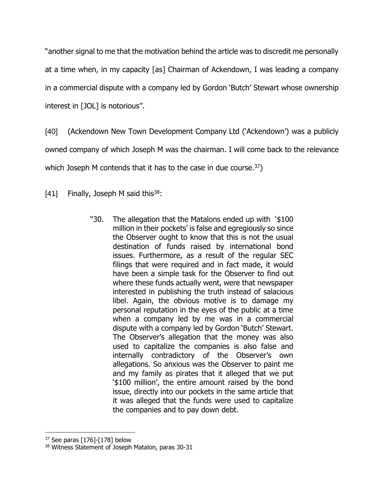"another signal to me that the motivation behind the article was to discredit me personally at a time when, in my capacity [as] Chairman of Ackendown, I was leading a company in a commercial dispute with a company led by Gordon 'Butch' Stewart whose ownership interest in [JOL] is notorious".

[40] (Ackendown New Town Development Company Ltd ('Ackendown') was a publicly owned company of which Joseph M was the chairman. I will come back to the relevance which Joseph M contends that it has to the case in due course.<sup>37</sup>)

[41] Finally, Joseph M said this  $38$ :

"30. The allegation that the Matalons ended up with '\$100 million in their pockets' is false and egregiously so since the Observer ought to know that this is not the usual destination of funds raised by international bond issues. Furthermore, as a result of the regular SEC filings that were required and in fact made, it would have been a simple task for the Observer to find out where these funds actually went, were that newspaper interested in publishing the truth instead of salacious libel. Again, the obvious motive is to damage my personal reputation in the eyes of the public at a time when a company led by me was in a commercial dispute with a company led by Gordon 'Butch' Stewart. The Observer's allegation that the money was also used to capitalize the companies is also false and internally contradictory of the Observer's own allegations. So anxious was the Observer to paint me and my family as pirates that it alleged that we put '\$100 million', the entire amount raised by the bond issue, directly into our pockets in the same article that it was alleged that the funds were used to capitalize the companies and to pay down debt.

 $37$  See paras [176]-[178] below

<sup>38</sup> Witness Statement of Joseph Matalon, paras 30-31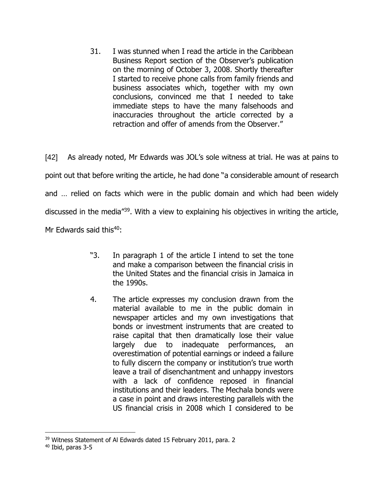31. I was stunned when I read the article in the Caribbean Business Report section of the Observer's publication on the morning of October 3, 2008. Shortly thereafter I started to receive phone calls from family friends and business associates which, together with my own conclusions, convinced me that I needed to take immediate steps to have the many falsehoods and inaccuracies throughout the article corrected by a retraction and offer of amends from the Observer."

[42] As already noted, Mr Edwards was JOL's sole witness at trial. He was at pains to point out that before writing the article, he had done "a considerable amount of research and … relied on facts which were in the public domain and which had been widely discussed in the media<sup>"39</sup>. With a view to explaining his objectives in writing the article, Mr Edwards said this $40$ :

- "3. In paragraph 1 of the article I intend to set the tone and make a comparison between the financial crisis in the United States and the financial crisis in Jamaica in the 1990s.
- 4. The article expresses my conclusion drawn from the material available to me in the public domain in newspaper articles and my own investigations that bonds or investment instruments that are created to raise capital that then dramatically lose their value largely due to inadequate performances, an overestimation of potential earnings or indeed a failure to fully discern the company or institution's true worth leave a trail of disenchantment and unhappy investors with a lack of confidence reposed in financial institutions and their leaders. The Mechala bonds were a case in point and draws interesting parallels with the US financial crisis in 2008 which I considered to be

<sup>&</sup>lt;sup>39</sup> Witness Statement of Al Edwards dated 15 February 2011, para. 2

<sup>40</sup> Ibid, paras 3-5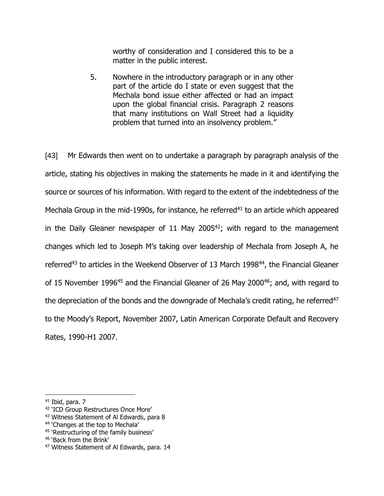worthy of consideration and I considered this to be a matter in the public interest.

5. Nowhere in the introductory paragraph or in any other part of the article do I state or even suggest that the Mechala bond issue either affected or had an impact upon the global financial crisis. Paragraph 2 reasons that many institutions on Wall Street had a liquidity problem that turned into an insolvency problem."

[43] Mr Edwards then went on to undertake a paragraph by paragraph analysis of the article, stating his objectives in making the statements he made in it and identifying the source or sources of his information. With regard to the extent of the indebtedness of the Mechala Group in the mid-1990s, for instance, he referred<sup>41</sup> to an article which appeared in the Daily Gleaner newspaper of 11 May 2005 $42$ ; with regard to the management changes which led to Joseph M's taking over leadership of Mechala from Joseph A, he referred<sup>43</sup> to articles in the Weekend Observer of 13 March 1998<sup>44</sup>, the Financial Gleaner of 15 November 1996<sup>45</sup> and the Financial Gleaner of 26 May 2000<sup>46</sup>; and, with regard to the depreciation of the bonds and the downgrade of Mechala's credit rating, he referred<sup>47</sup> to the Moody's Report, November 2007, Latin American Corporate Default and Recovery Rates, 1990-H1 2007.

 $41$  Ibid, para. 7

<sup>&</sup>lt;sup>42</sup> 'ICD Group Restructures Once More'

<sup>&</sup>lt;sup>43</sup> Witness Statement of Al Edwards, para 8

<sup>&</sup>lt;sup>44</sup> 'Changes at the top to Mechala'

<sup>45</sup> 'Restructuring of the family business'

<sup>46</sup> 'Back from the Brink'

<sup>&</sup>lt;sup>47</sup> Witness Statement of Al Edwards, para. 14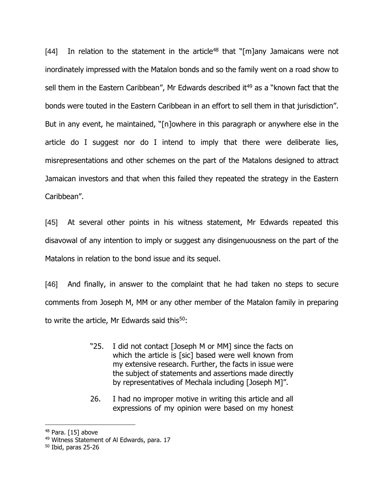[44] In relation to the statement in the article<sup>48</sup> that "[m]any Jamaicans were not inordinately impressed with the Matalon bonds and so the family went on a road show to sell them in the Eastern Caribbean", Mr Edwards described it<sup>49</sup> as a "known fact that the bonds were touted in the Eastern Caribbean in an effort to sell them in that jurisdiction". But in any event, he maintained, "[n]owhere in this paragraph or anywhere else in the article do I suggest nor do I intend to imply that there were deliberate lies, misrepresentations and other schemes on the part of the Matalons designed to attract Jamaican investors and that when this failed they repeated the strategy in the Eastern Caribbean".

[45] At several other points in his witness statement, Mr Edwards repeated this disavowal of any intention to imply or suggest any disingenuousness on the part of the Matalons in relation to the bond issue and its sequel.

[46] And finally, in answer to the complaint that he had taken no steps to secure comments from Joseph M, MM or any other member of the Matalon family in preparing to write the article, Mr Edwards said this $50$ :

- "25. I did not contact [Joseph M or MM] since the facts on which the article is [sic] based were well known from my extensive research. Further, the facts in issue were the subject of statements and assertions made directly by representatives of Mechala including [Joseph M]".
- 26. I had no improper motive in writing this article and all expressions of my opinion were based on my honest

<sup>48</sup> Para. [15] above

<sup>49</sup> Witness Statement of Al Edwards, para. 17

<sup>50</sup> Ibid, paras 25-26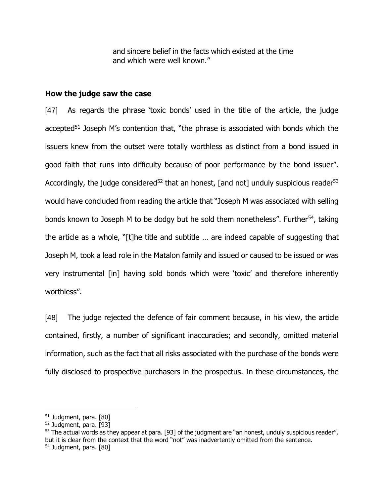and sincere belief in the facts which existed at the time and which were well known."

#### **How the judge saw the case**

[47] As regards the phrase 'toxic bonds' used in the title of the article, the judge accepted<sup>51</sup> Joseph M's contention that, "the phrase is associated with bonds which the issuers knew from the outset were totally worthless as distinct from a bond issued in good faith that runs into difficulty because of poor performance by the bond issuer". Accordingly, the judge considered<sup>52</sup> that an honest, [and not] unduly suspicious reader<sup>53</sup> would have concluded from reading the article that "Joseph M was associated with selling bonds known to Joseph M to be dodgy but he sold them nonetheless". Further<sup>54</sup>, taking the article as a whole, "[t]he title and subtitle … are indeed capable of suggesting that Joseph M, took a lead role in the Matalon family and issued or caused to be issued or was very instrumental [in] having sold bonds which were 'toxic' and therefore inherently worthless".

[48] The judge rejected the defence of fair comment because, in his view, the article contained, firstly, a number of significant inaccuracies; and secondly, omitted material information, such as the fact that all risks associated with the purchase of the bonds were fully disclosed to prospective purchasers in the prospectus. In these circumstances, the

<sup>51</sup> Judgment, para. [80]

<sup>52</sup> Judgment, para. [93]

<sup>&</sup>lt;sup>53</sup> The actual words as they appear at para. [93] of the judgment are "an honest, unduly suspicious reader", but it is clear from the context that the word "not" was inadvertently omitted from the sentence. <sup>54</sup> Judgment, para. [80]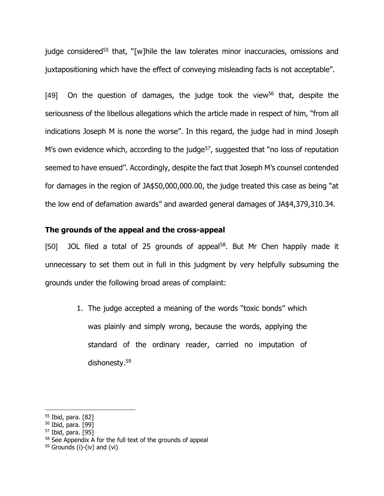judge considered<sup>55</sup> that, "[w]hile the law tolerates minor inaccuracies, omissions and juxtapositioning which have the effect of conveying misleading facts is not acceptable".

 $[49]$  On the question of damages, the judge took the view<sup>56</sup> that, despite the seriousness of the libellous allegations which the article made in respect of him, "from all indications Joseph M is none the worse". In this regard, the judge had in mind Joseph M's own evidence which, according to the judge<sup>57</sup>, suggested that "no loss of reputation seemed to have ensued". Accordingly, despite the fact that Joseph M's counsel contended for damages in the region of JA\$50,000,000.00, the judge treated this case as being "at the low end of defamation awards" and awarded general damages of JA\$4,379,310.34.

#### **The grounds of the appeal and the cross-appeal**

[50] JOL filed a total of 25 grounds of appeal<sup>58</sup>. But Mr Chen happily made it unnecessary to set them out in full in this judgment by very helpfully subsuming the grounds under the following broad areas of complaint:

> 1. The judge accepted a meaning of the words "toxic bonds" which was plainly and simply wrong, because the words, applying the standard of the ordinary reader, carried no imputation of dishonesty. 59

<sup>55</sup> Ibid, para. [82]

<sup>56</sup> Ibid, para. [99]

<sup>57</sup> Ibid, para. [95]

<sup>58</sup> See Appendix A for the full text of the grounds of appeal

 $59$  Grounds (i)-(iv) and (vi)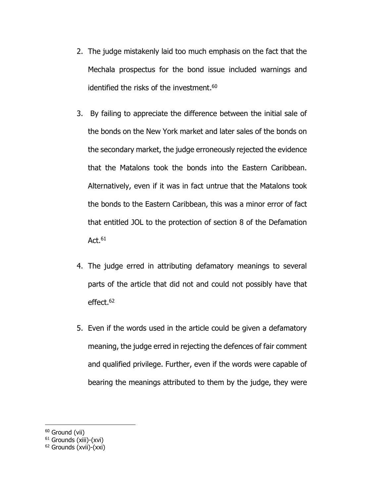- 2. The judge mistakenly laid too much emphasis on the fact that the Mechala prospectus for the bond issue included warnings and identified the risks of the investment.<sup>60</sup>
- 3. By failing to appreciate the difference between the initial sale of the bonds on the New York market and later sales of the bonds on the secondary market, the judge erroneously rejected the evidence that the Matalons took the bonds into the Eastern Caribbean. Alternatively, even if it was in fact untrue that the Matalons took the bonds to the Eastern Caribbean, this was a minor error of fact that entitled JOL to the protection of section 8 of the Defamation Act. $\rm ^{61}$
- 4. The judge erred in attributing defamatory meanings to several parts of the article that did not and could not possibly have that effect. 62
- 5. Even if the words used in the article could be given a defamatory meaning, the judge erred in rejecting the defences of fair comment and qualified privilege. Further, even if the words were capable of bearing the meanings attributed to them by the judge, they were

<sup>&</sup>lt;sup>60</sup> Ground (vii)

<sup>61</sup> Grounds (xiii)-(xvi)

<sup>62</sup> Grounds (xvii)-(xxi)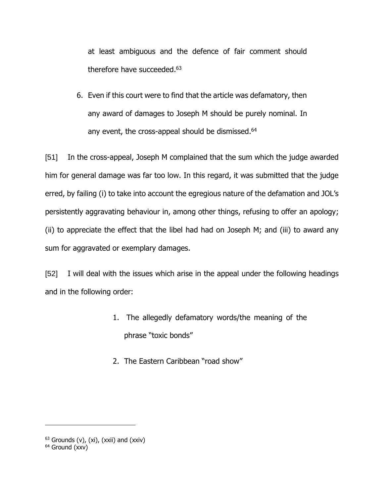at least ambiguous and the defence of fair comment should therefore have succeeded.<sup>63</sup>

6. Even if this court were to find that the article was defamatory, then any award of damages to Joseph M should be purely nominal. In any event, the cross-appeal should be dismissed.<sup>64</sup>

[51] In the cross-appeal, Joseph M complained that the sum which the judge awarded him for general damage was far too low. In this regard, it was submitted that the judge erred, by failing (i) to take into account the egregious nature of the defamation and JOL's persistently aggravating behaviour in, among other things, refusing to offer an apology; (ii) to appreciate the effect that the libel had had on Joseph M; and (iii) to award any sum for aggravated or exemplary damages.

[52] I will deal with the issues which arise in the appeal under the following headings and in the following order:

- 1. The allegedly defamatory words/the meaning of the phrase "toxic bonds"
- 2. The Eastern Caribbean "road show"

 $63$  Grounds (v), (xi), (xxii) and (xxiv)

<sup>64</sup> Ground (xxv)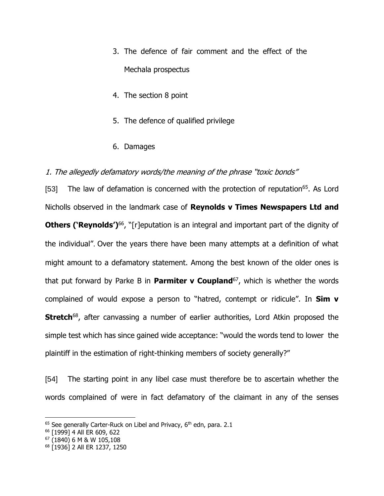- 3. The defence of fair comment and the effect of the Mechala prospectus
- 4. The section 8 point
- 5. The defence of qualified privilege
- 6. Damages

### 1. The allegedly defamatory words/the meaning of the phrase "toxic bonds"

[53] The law of defamation is concerned with the protection of reputation<sup>65</sup>. As Lord Nicholls observed in the landmark case of **Reynolds v Times Newspapers Ltd and Others ('Reynolds')<sup>66</sup>,** "[r]eputation is an integral and important part of the dignity of the individual". Over the years there have been many attempts at a definition of what might amount to a defamatory statement. Among the best known of the older ones is that put forward by Parke B in **Parmiter v Coupland**<sup>67</sup>, which is whether the words complained of would expose a person to "hatred, contempt or ridicule". In **Sim v Stretch**<sup>68</sup>, after canvassing a number of earlier authorities, Lord Atkin proposed the simple test which has since gained wide acceptance: "would the words tend to lower the plaintiff in the estimation of right-thinking members of society generally?"

[54] The starting point in any libel case must therefore be to ascertain whether the words complained of were in fact defamatory of the claimant in any of the senses

 $65$  See generally Carter-Ruck on Libel and Privacy,  $6<sup>th</sup>$  edn, para. 2.1

<sup>66</sup> [1999] 4 All ER 609, 622

<sup>67</sup> (1840) 6 M & W 105,108

<sup>68</sup> [1936] 2 All ER 1237, 1250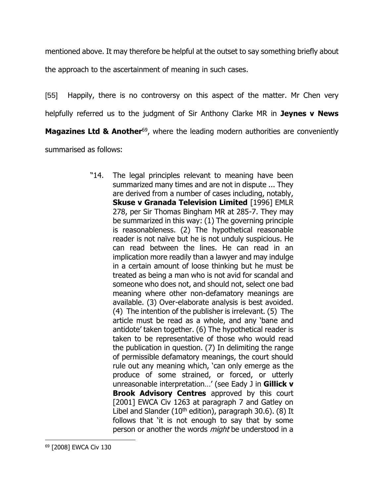mentioned above. It may therefore be helpful at the outset to say something briefly about

the approach to the ascertainment of meaning in such cases.

[55] Happily, there is no controversy on this aspect of the matter. Mr Chen very helpfully referred us to the judgment of Sir Anthony Clarke MR in **Jeynes v News Magazines Ltd & Another**<sup>69</sup>, where the leading modern authorities are conveniently summarised as follows:

> "14. The legal principles relevant to meaning have been summarized many times and are not in dispute ... They are derived from a number of cases including, notably, **Skuse v Granada Television Limited** [1996] EMLR 278, per Sir Thomas Bingham MR at 285-7. They may be summarized in this way: (1) The governing principle is reasonableness. (2) The hypothetical reasonable reader is not naïve but he is not unduly suspicious. He can read between the lines. He can read in an implication more readily than a lawyer and may indulge in a certain amount of loose thinking but he must be treated as being a man who is not avid for scandal and someone who does not, and should not, select one bad meaning where other non-defamatory meanings are available. (3) Over-elaborate analysis is best avoided. (4) The intention of the publisher is irrelevant. (5) The article must be read as a whole, and any 'bane and antidote' taken together. (6) The hypothetical reader is taken to be representative of those who would read the publication in question. (7) In delimiting the range of permissible defamatory meanings, the court should rule out any meaning which, 'can only emerge as the produce of some strained, or forced, or utterly unreasonable interpretation…' (see Eady J in **Gillick v Brook Advisory Centres** approved by this court [2001] EWCA Civ 1263 at paragraph 7 and Gatley on Libel and Slander ( $10<sup>th</sup>$  edition), paragraph 30.6). (8) It follows that 'it is not enough to say that by some person or another the words *might* be understood in a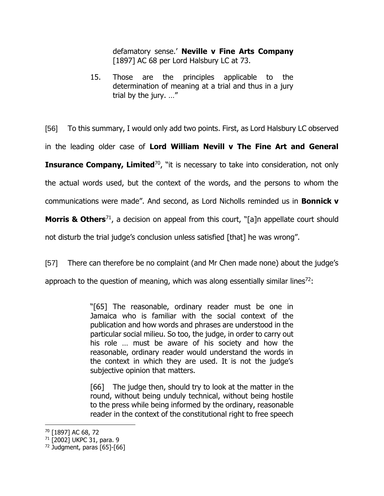defamatory sense.' **Neville v Fine Arts Company** [1897] AC 68 per Lord Halsbury LC at 73.

15. Those are the principles applicable to the determination of meaning at a trial and thus in a jury trial by the jury. …"

[56] To this summary, I would only add two points. First, as Lord Halsbury LC observed in the leading older case of **Lord William Nevill v The Fine Art and General Insurance Company, Limited**<sup>70</sup>, "it is necessary to take into consideration, not only the actual words used, but the context of the words, and the persons to whom the communications were made". And second, as Lord Nicholls reminded us in **Bonnick v** 

**Morris & Others**<sup>71</sup>, a decision on appeal from this court, "[a]n appellate court should

not disturb the trial judge's conclusion unless satisfied [that] he was wrong".

[57] There can therefore be no complaint (and Mr Chen made none) about the judge's

approach to the question of meaning, which was along essentially similar lines<sup>72</sup>:

"[65] The reasonable, ordinary reader must be one in Jamaica who is familiar with the social context of the publication and how words and phrases are understood in the particular social milieu. So too, the judge, in order to carry out his role … must be aware of his society and how the reasonable, ordinary reader would understand the words in the context in which they are used. It is not the judge's subjective opinion that matters.

[66] The judge then, should try to look at the matter in the round, without being unduly technical, without being hostile to the press while being informed by the ordinary, reasonable reader in the context of the constitutional right to free speech

<sup>70</sup> [1897] AC 68, 72

<sup>71</sup> [2002] UKPC 31, para. 9

 $72$  Judgment, paras [65]-[66]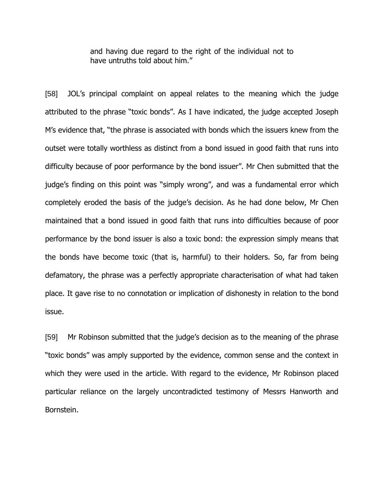and having due regard to the right of the individual not to have untruths told about him."

[58] JOL's principal complaint on appeal relates to the meaning which the judge attributed to the phrase "toxic bonds". As I have indicated, the judge accepted Joseph M's evidence that, "the phrase is associated with bonds which the issuers knew from the outset were totally worthless as distinct from a bond issued in good faith that runs into difficulty because of poor performance by the bond issuer". Mr Chen submitted that the judge's finding on this point was "simply wrong", and was a fundamental error which completely eroded the basis of the judge's decision. As he had done below, Mr Chen maintained that a bond issued in good faith that runs into difficulties because of poor performance by the bond issuer is also a toxic bond: the expression simply means that the bonds have become toxic (that is, harmful) to their holders. So, far from being defamatory, the phrase was a perfectly appropriate characterisation of what had taken place. It gave rise to no connotation or implication of dishonesty in relation to the bond issue.

[59] Mr Robinson submitted that the judge's decision as to the meaning of the phrase "toxic bonds" was amply supported by the evidence, common sense and the context in which they were used in the article. With regard to the evidence, Mr Robinson placed particular reliance on the largely uncontradicted testimony of Messrs Hanworth and Bornstein.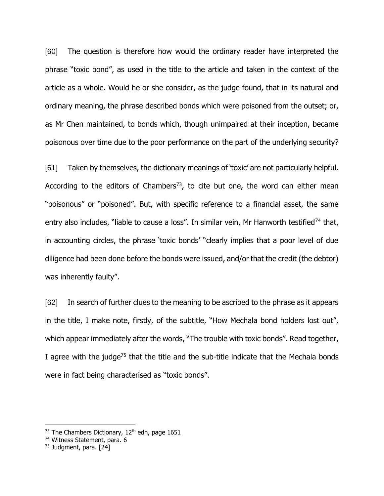[60] The question is therefore how would the ordinary reader have interpreted the phrase "toxic bond", as used in the title to the article and taken in the context of the article as a whole. Would he or she consider, as the judge found, that in its natural and ordinary meaning, the phrase described bonds which were poisoned from the outset; or, as Mr Chen maintained, to bonds which, though unimpaired at their inception, became poisonous over time due to the poor performance on the part of the underlying security?

[61] Taken by themselves, the dictionary meanings of 'toxic' are not particularly helpful. According to the editors of Chambers<sup>73</sup>, to cite but one, the word can either mean "poisonous" or "poisoned". But, with specific reference to a financial asset, the same entry also includes, "liable to cause a loss". In similar vein, Mr Hanworth testified<sup>74</sup> that, in accounting circles, the phrase 'toxic bonds' "clearly implies that a poor level of due diligence had been done before the bonds were issued, and/or that the credit (the debtor) was inherently faulty".

[62] In search of further clues to the meaning to be ascribed to the phrase as it appears in the title, I make note, firstly, of the subtitle, "How Mechala bond holders lost out", which appear immediately after the words, "The trouble with toxic bonds". Read together, I agree with the judge<sup>75</sup> that the title and the sub-title indicate that the Mechala bonds were in fact being characterised as "toxic bonds".

<sup>73</sup> The Chambers Dictionary, 12<sup>th</sup> edn, page 1651

<sup>74</sup> Witness Statement, para. 6

<sup>75</sup> Judgment, para. [24]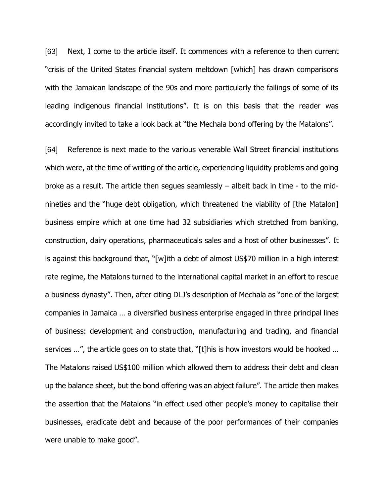[63] Next, I come to the article itself. It commences with a reference to then current "crisis of the United States financial system meltdown [which] has drawn comparisons with the Jamaican landscape of the 90s and more particularly the failings of some of its leading indigenous financial institutions". It is on this basis that the reader was accordingly invited to take a look back at "the Mechala bond offering by the Matalons".

[64] Reference is next made to the various venerable Wall Street financial institutions which were, at the time of writing of the article, experiencing liquidity problems and going broke as a result. The article then segues seamlessly – albeit back in time - to the midnineties and the "huge debt obligation, which threatened the viability of [the Matalon] business empire which at one time had 32 subsidiaries which stretched from banking, construction, dairy operations, pharmaceuticals sales and a host of other businesses". It is against this background that, "[w]ith a debt of almost US\$70 million in a high interest rate regime, the Matalons turned to the international capital market in an effort to rescue a business dynasty". Then, after citing DLJ's description of Mechala as "one of the largest companies in Jamaica … a diversified business enterprise engaged in three principal lines of business: development and construction, manufacturing and trading, and financial services …", the article goes on to state that, "[t]his is how investors would be hooked … The Matalons raised US\$100 million which allowed them to address their debt and clean up the balance sheet, but the bond offering was an abject failure". The article then makes the assertion that the Matalons "in effect used other people's money to capitalise their businesses, eradicate debt and because of the poor performances of their companies were unable to make good".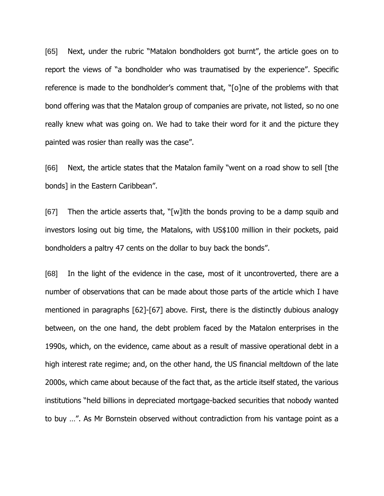[65] Next, under the rubric "Matalon bondholders got burnt", the article goes on to report the views of "a bondholder who was traumatised by the experience". Specific reference is made to the bondholder's comment that, "[o]ne of the problems with that bond offering was that the Matalon group of companies are private, not listed, so no one really knew what was going on. We had to take their word for it and the picture they painted was rosier than really was the case".

[66] Next, the article states that the Matalon family "went on a road show to sell [the bonds] in the Eastern Caribbean".

[67] Then the article asserts that, "[w]ith the bonds proving to be a damp squib and investors losing out big time, the Matalons, with US\$100 million in their pockets, paid bondholders a paltry 47 cents on the dollar to buy back the bonds".

[68] In the light of the evidence in the case, most of it uncontroverted, there are a number of observations that can be made about those parts of the article which I have mentioned in paragraphs [62]-[67] above. First, there is the distinctly dubious analogy between, on the one hand, the debt problem faced by the Matalon enterprises in the 1990s, which, on the evidence, came about as a result of massive operational debt in a high interest rate regime; and, on the other hand, the US financial meltdown of the late 2000s, which came about because of the fact that, as the article itself stated, the various institutions "held billions in depreciated mortgage-backed securities that nobody wanted to buy …". As Mr Bornstein observed without contradiction from his vantage point as a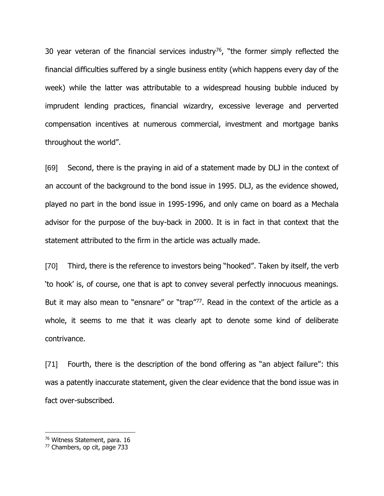30 year veteran of the financial services industry<sup>76</sup>, "the former simply reflected the financial difficulties suffered by a single business entity (which happens every day of the week) while the latter was attributable to a widespread housing bubble induced by imprudent lending practices, financial wizardry, excessive leverage and perverted compensation incentives at numerous commercial, investment and mortgage banks throughout the world".

[69] Second, there is the praying in aid of a statement made by DLJ in the context of an account of the background to the bond issue in 1995. DLJ, as the evidence showed, played no part in the bond issue in 1995-1996, and only came on board as a Mechala advisor for the purpose of the buy-back in 2000. It is in fact in that context that the statement attributed to the firm in the article was actually made.

[70] Third, there is the reference to investors being "hooked". Taken by itself, the verb 'to hook' is, of course, one that is apt to convey several perfectly innocuous meanings. But it may also mean to "ensnare" or "trap"<sup>77</sup>. Read in the context of the article as a whole, it seems to me that it was clearly apt to denote some kind of deliberate contrivance.

[71] Fourth, there is the description of the bond offering as "an abject failure": this was a patently inaccurate statement, given the clear evidence that the bond issue was in fact over-subscribed.

<sup>76</sup> Witness Statement, para. 16

<sup>77</sup> Chambers, op cit, page 733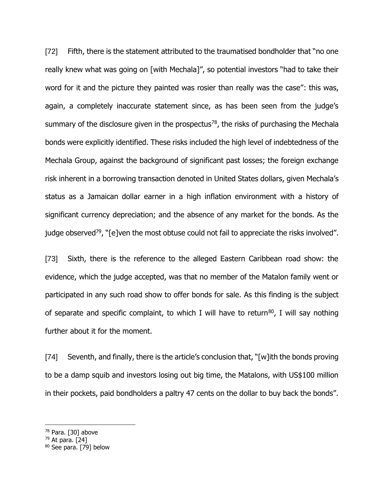[72] Fifth, there is the statement attributed to the traumatised bondholder that "no one really knew what was going on [with Mechala]", so potential investors "had to take their word for it and the picture they painted was rosier than really was the case": this was, again, a completely inaccurate statement since, as has been seen from the judge's summary of the disclosure given in the prospectus<sup>78</sup>, the risks of purchasing the Mechala bonds were explicitly identified. These risks included the high level of indebtedness of the Mechala Group, against the background of significant past losses; the foreign exchange risk inherent in a borrowing transaction denoted in United States dollars, given Mechala's status as a Jamaican dollar earner in a high inflation environment with a history of significant currency depreciation; and the absence of any market for the bonds. As the judge observed<sup>79</sup>, "[e]ven the most obtuse could not fail to appreciate the risks involved".

[73] Sixth, there is the reference to the alleged Eastern Caribbean road show: the evidence, which the judge accepted, was that no member of the Matalon family went or participated in any such road show to offer bonds for sale. As this finding is the subject of separate and specific complaint, to which I will have to return<sup>80</sup>, I will say nothing further about it for the moment.

[74] Seventh, and finally, there is the article's conclusion that, "[w]ith the bonds proving to be a damp squib and investors losing out big time, the Matalons, with US\$100 million in their pockets, paid bondholders a paltry 47 cents on the dollar to buy back the bonds".

- <sup>78</sup> Para. [30] above
- $79$  At para. [24]

<sup>80</sup> See para. [79] below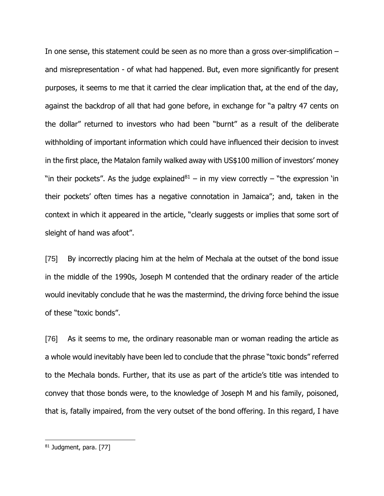In one sense, this statement could be seen as no more than a gross over-simplification – and misrepresentation - of what had happened. But, even more significantly for present purposes, it seems to me that it carried the clear implication that, at the end of the day, against the backdrop of all that had gone before, in exchange for "a paltry 47 cents on the dollar" returned to investors who had been "burnt" as a result of the deliberate withholding of important information which could have influenced their decision to invest in the first place, the Matalon family walked away with US\$100 million of investors' money "in their pockets". As the judge explained $81 -$  in my view correctly – "the expression 'in their pockets' often times has a negative connotation in Jamaica"; and, taken in the context in which it appeared in the article, "clearly suggests or implies that some sort of sleight of hand was afoot".

[75] By incorrectly placing him at the helm of Mechala at the outset of the bond issue in the middle of the 1990s, Joseph M contended that the ordinary reader of the article would inevitably conclude that he was the mastermind, the driving force behind the issue of these "toxic bonds".

[76] As it seems to me, the ordinary reasonable man or woman reading the article as a whole would inevitably have been led to conclude that the phrase "toxic bonds" referred to the Mechala bonds. Further, that its use as part of the article's title was intended to convey that those bonds were, to the knowledge of Joseph M and his family, poisoned, that is, fatally impaired, from the very outset of the bond offering. In this regard, I have

<sup>81</sup> Judgment, para. [77]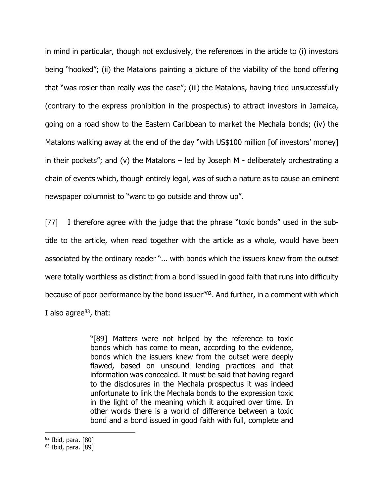in mind in particular, though not exclusively, the references in the article to (i) investors being "hooked"; (ii) the Matalons painting a picture of the viability of the bond offering that "was rosier than really was the case"; (iii) the Matalons, having tried unsuccessfully (contrary to the express prohibition in the prospectus) to attract investors in Jamaica, going on a road show to the Eastern Caribbean to market the Mechala bonds; (iv) the Matalons walking away at the end of the day "with US\$100 million [of investors' money] in their pockets"; and (v) the Matalons – led by Joseph M - deliberately orchestrating a chain of events which, though entirely legal, was of such a nature as to cause an eminent newspaper columnist to "want to go outside and throw up".

[77] I therefore agree with the judge that the phrase "toxic bonds" used in the subtitle to the article, when read together with the article as a whole, would have been associated by the ordinary reader "... with bonds which the issuers knew from the outset were totally worthless as distinct from a bond issued in good faith that runs into difficulty because of poor performance by the bond issuer"<sup>82</sup> . And further, in a comment with which I also agree $^{83}$ , that:

> "[89] Matters were not helped by the reference to toxic bonds which has come to mean, according to the evidence, bonds which the issuers knew from the outset were deeply flawed, based on unsound lending practices and that information was concealed. It must be said that having regard to the disclosures in the Mechala prospectus it was indeed unfortunate to link the Mechala bonds to the expression toxic in the light of the meaning which it acquired over time. In other words there is a world of difference between a toxic bond and a bond issued in good faith with full, complete and

<sup>82</sup> Ibid, para. [80]

<sup>83</sup> Ibid, para. [89]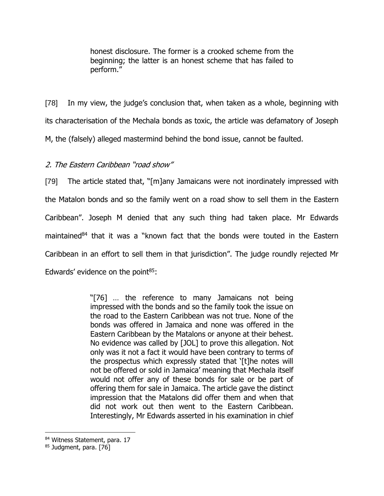honest disclosure. The former is a crooked scheme from the beginning; the latter is an honest scheme that has failed to perform."

[78] In my view, the judge's conclusion that, when taken as a whole, beginning with its characterisation of the Mechala bonds as toxic, the article was defamatory of Joseph M, the (falsely) alleged mastermind behind the bond issue, cannot be faulted.

2. The Eastern Caribbean "road show"

[79] The article stated that, "[m]any Jamaicans were not inordinately impressed with the Matalon bonds and so the family went on a road show to sell them in the Eastern Caribbean". Joseph M denied that any such thing had taken place. Mr Edwards maintained<sup>84</sup> that it was a "known fact that the bonds were touted in the Eastern Caribbean in an effort to sell them in that jurisdiction". The judge roundly rejected Mr Edwards' evidence on the point<sup>85</sup>:

> "[76] … the reference to many Jamaicans not being impressed with the bonds and so the family took the issue on the road to the Eastern Caribbean was not true. None of the bonds was offered in Jamaica and none was offered in the Eastern Caribbean by the Matalons or anyone at their behest. No evidence was called by [JOL] to prove this allegation. Not only was it not a fact it would have been contrary to terms of the prospectus which expressly stated that '[t]he notes will not be offered or sold in Jamaica' meaning that Mechala itself would not offer any of these bonds for sale or be part of offering them for sale in Jamaica. The article gave the distinct impression that the Matalons did offer them and when that did not work out then went to the Eastern Caribbean. Interestingly, Mr Edwards asserted in his examination in chief

<sup>84</sup> Witness Statement, para. 17

<sup>85</sup> Judgment, para. [76]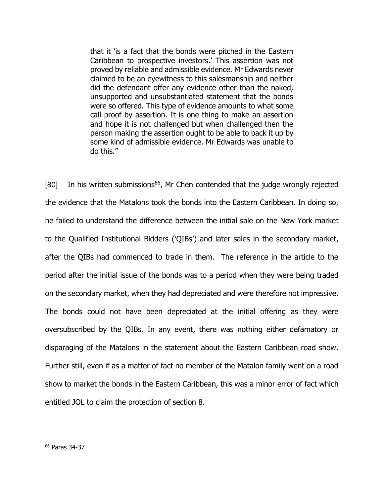that it 'is a fact that the bonds were pitched in the Eastern Caribbean to prospective investors.' This assertion was not proved by reliable and admissible evidence. Mr Edwards never claimed to be an eyewitness to this salesmanship and neither did the defendant offer any evidence other than the naked, unsupported and unsubstantiated statement that the bonds were so offered. This type of evidence amounts to what some call proof by assertion. It is one thing to make an assertion and hope it is not challenged but when challenged then the person making the assertion ought to be able to back it up by some kind of admissible evidence. Mr Edwards was unable to do this."

[80] In his written submissions<sup>86</sup>, Mr Chen contended that the judge wrongly rejected the evidence that the Matalons took the bonds into the Eastern Caribbean. In doing so, he failed to understand the difference between the initial sale on the New York market to the Qualified Institutional Bidders ('QIBs') and later sales in the secondary market, after the QIBs had commenced to trade in them. The reference in the article to the period after the initial issue of the bonds was to a period when they were being traded on the secondary market, when they had depreciated and were therefore not impressive. The bonds could not have been depreciated at the initial offering as they were oversubscribed by the QIBs. In any event, there was nothing either defamatory or disparaging of the Matalons in the statement about the Eastern Caribbean road show. Further still, even if as a matter of fact no member of the Matalon family went on a road show to market the bonds in the Eastern Caribbean, this was a minor error of fact which entitled JOL to claim the protection of section 8.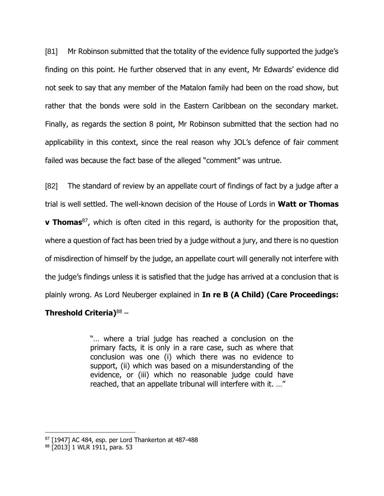[81] Mr Robinson submitted that the totality of the evidence fully supported the judge's finding on this point. He further observed that in any event, Mr Edwards' evidence did not seek to say that any member of the Matalon family had been on the road show, but rather that the bonds were sold in the Eastern Caribbean on the secondary market. Finally, as regards the section 8 point, Mr Robinson submitted that the section had no applicability in this context, since the real reason why JOL's defence of fair comment failed was because the fact base of the alleged "comment" was untrue.

[82] The standard of review by an appellate court of findings of fact by a judge after a trial is well settled. The well-known decision of the House of Lords in **Watt or Thomas v** Thomas<sup>87</sup>, which is often cited in this regard, is authority for the proposition that, where a question of fact has been tried by a judge without a jury, and there is no question of misdirection of himself by the judge, an appellate court will generally not interfere with the judge's findings unless it is satisfied that the judge has arrived at a conclusion that is plainly wrong. As Lord Neuberger explained in **In re B (A Child) (Care Proceedings:** 

## **Threshold Criteria)**<sup>88</sup> –

"… where a trial judge has reached a conclusion on the primary facts, it is only in a rare case, such as where that conclusion was one (i) which there was no evidence to support, (ii) which was based on a misunderstanding of the evidence, or (iii) which no reasonable judge could have reached, that an appellate tribunal will interfere with it. …"

<sup>87 [1947]</sup> AC 484, esp. per Lord Thankerton at 487-488

<sup>88</sup> [2013] 1 WLR 1911, para. 53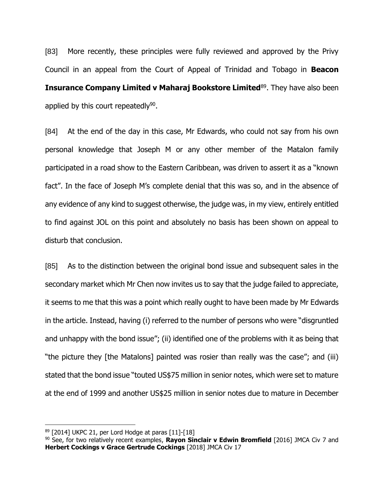[83] More recently, these principles were fully reviewed and approved by the Privy Council in an appeal from the Court of Appeal of Trinidad and Tobago in **Beacon Insurance Company Limited v Maharaj Bookstore Limited**<sup>89</sup>. They have also been applied by this court repeatedly<sup>90</sup>.

[84] At the end of the day in this case, Mr Edwards, who could not say from his own personal knowledge that Joseph M or any other member of the Matalon family participated in a road show to the Eastern Caribbean, was driven to assert it as a "known fact". In the face of Joseph M's complete denial that this was so, and in the absence of any evidence of any kind to suggest otherwise, the judge was, in my view, entirely entitled to find against JOL on this point and absolutely no basis has been shown on appeal to disturb that conclusion.

[85] As to the distinction between the original bond issue and subsequent sales in the secondary market which Mr Chen now invites us to say that the judge failed to appreciate, it seems to me that this was a point which really ought to have been made by Mr Edwards in the article. Instead, having (i) referred to the number of persons who were "disgruntled and unhappy with the bond issue"; (ii) identified one of the problems with it as being that "the picture they [the Matalons] painted was rosier than really was the case"; and (iii) stated that the bond issue "touted US\$75 million in senior notes, which were set to mature at the end of 1999 and another US\$25 million in senior notes due to mature in December

<sup>89</sup> [2014] UKPC 21, per Lord Hodge at paras [11]-[18]

<sup>90</sup> See, for two relatively recent examples, **Rayon Sinclair v Edwin Bromfield** [2016] JMCA Civ 7 and **Herbert Cockings v Grace Gertrude Cockings** [2018] JMCA Civ 17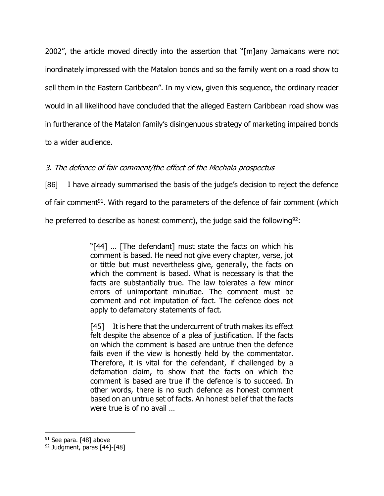2002", the article moved directly into the assertion that "[m]any Jamaicans were not inordinately impressed with the Matalon bonds and so the family went on a road show to sell them in the Eastern Caribbean". In my view, given this sequence, the ordinary reader would in all likelihood have concluded that the alleged Eastern Caribbean road show was in furtherance of the Matalon family's disingenuous strategy of marketing impaired bonds to a wider audience.

# 3. The defence of fair comment/the effect of the Mechala prospectus

[86] I have already summarised the basis of the judge's decision to reject the defence

of fair comment<sup>91</sup>. With regard to the parameters of the defence of fair comment (which

he preferred to describe as honest comment), the judge said the following<sup>92</sup>:

"[44] … [The defendant] must state the facts on which his comment is based. He need not give every chapter, verse, jot or tittle but must nevertheless give, generally, the facts on which the comment is based. What is necessary is that the facts are substantially true. The law tolerates a few minor errors of unimportant minutiae. The comment must be comment and not imputation of fact. The defence does not apply to defamatory statements of fact.

[45] It is here that the undercurrent of truth makes its effect felt despite the absence of a plea of justification. If the facts on which the comment is based are untrue then the defence fails even if the view is honestly held by the commentator. Therefore, it is vital for the defendant, if challenged by a defamation claim, to show that the facts on which the comment is based are true if the defence is to succeed. In other words, there is no such defence as honest comment based on an untrue set of facts. An honest belief that the facts were true is of no avail …

<sup>91</sup> See para. [48] above

<sup>92</sup> Judgment, paras [44]-[48]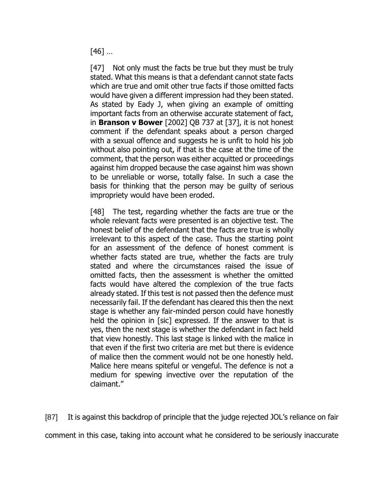[46] …

[47] Not only must the facts be true but they must be truly stated. What this means is that a defendant cannot state facts which are true and omit other true facts if those omitted facts would have given a different impression had they been stated. As stated by Eady J, when giving an example of omitting important facts from an otherwise accurate statement of fact, in **Branson v Bower** [2002] QB 737 at [37], it is not honest comment if the defendant speaks about a person charged with a sexual offence and suggests he is unfit to hold his job without also pointing out, if that is the case at the time of the comment, that the person was either acquitted or proceedings against him dropped because the case against him was shown to be unreliable or worse, totally false. In such a case the basis for thinking that the person may be guilty of serious impropriety would have been eroded.

[48] The test, regarding whether the facts are true or the whole relevant facts were presented is an objective test. The honest belief of the defendant that the facts are true is wholly irrelevant to this aspect of the case. Thus the starting point for an assessment of the defence of honest comment is whether facts stated are true, whether the facts are truly stated and where the circumstances raised the issue of omitted facts, then the assessment is whether the omitted facts would have altered the complexion of the true facts already stated. If this test is not passed then the defence must necessarily fail. If the defendant has cleared this then the next stage is whether any fair-minded person could have honestly held the opinion in [sic] expressed. If the answer to that is yes, then the next stage is whether the defendant in fact held that view honestly. This last stage is linked with the malice in that even if the first two criteria are met but there is evidence of malice then the comment would not be one honestly held. Malice here means spiteful or vengeful. The defence is not a medium for spewing invective over the reputation of the claimant."

[87] It is against this backdrop of principle that the judge rejected JOL's reliance on fair

comment in this case, taking into account what he considered to be seriously inaccurate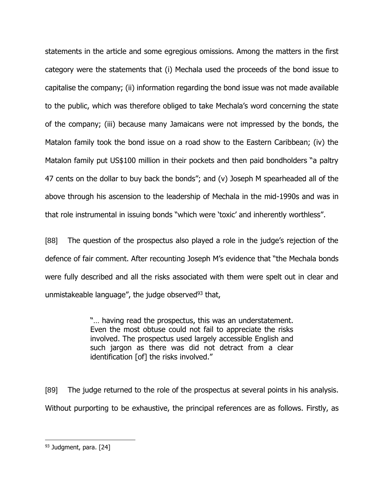statements in the article and some egregious omissions. Among the matters in the first category were the statements that (i) Mechala used the proceeds of the bond issue to capitalise the company; (ii) information regarding the bond issue was not made available to the public, which was therefore obliged to take Mechala's word concerning the state of the company; (iii) because many Jamaicans were not impressed by the bonds, the Matalon family took the bond issue on a road show to the Eastern Caribbean; (iv) the Matalon family put US\$100 million in their pockets and then paid bondholders "a paltry 47 cents on the dollar to buy back the bonds"; and (v) Joseph M spearheaded all of the above through his ascension to the leadership of Mechala in the mid-1990s and was in that role instrumental in issuing bonds "which were 'toxic' and inherently worthless".

[88] The question of the prospectus also played a role in the judge's rejection of the defence of fair comment. After recounting Joseph M's evidence that "the Mechala bonds were fully described and all the risks associated with them were spelt out in clear and unmistakeable language", the judge observed $93$  that,

> "… having read the prospectus, this was an understatement. Even the most obtuse could not fail to appreciate the risks involved. The prospectus used largely accessible English and such jargon as there was did not detract from a clear identification [of] the risks involved."

[89] The judge returned to the role of the prospectus at several points in his analysis. Without purporting to be exhaustive, the principal references are as follows. Firstly, as

<sup>93</sup> Judgment, para. [24]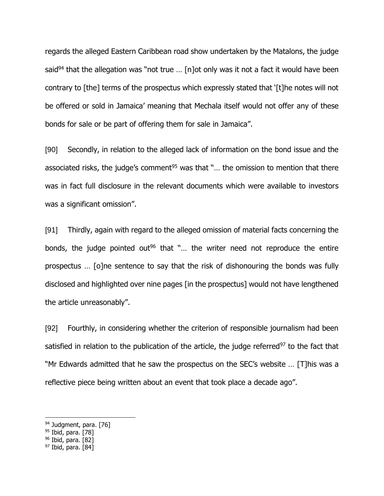regards the alleged Eastern Caribbean road show undertaken by the Matalons, the judge said<sup>94</sup> that the allegation was "not true ... [n]ot only was it not a fact it would have been contrary to [the] terms of the prospectus which expressly stated that '[t]he notes will not be offered or sold in Jamaica' meaning that Mechala itself would not offer any of these bonds for sale or be part of offering them for sale in Jamaica".

[90] Secondly, in relation to the alleged lack of information on the bond issue and the associated risks, the judge's comment<sup>95</sup> was that " $\ldots$  the omission to mention that there was in fact full disclosure in the relevant documents which were available to investors was a significant omission".

[91] Thirdly, again with regard to the alleged omission of material facts concerning the bonds, the judge pointed out<sup>96</sup> that "... the writer need not reproduce the entire prospectus … [o]ne sentence to say that the risk of dishonouring the bonds was fully disclosed and highlighted over nine pages [in the prospectus] would not have lengthened the article unreasonably".

[92] Fourthly, in considering whether the criterion of responsible journalism had been satisfied in relation to the publication of the article, the judge referred $97$  to the fact that "Mr Edwards admitted that he saw the prospectus on the SEC's website … [T]his was a reflective piece being written about an event that took place a decade ago".

96 Ibid, para. [82]

<sup>94</sup> Judgment, para. [76]

<sup>95</sup> Ibid, para. [78]

<sup>97</sup> Ibid, para. [84]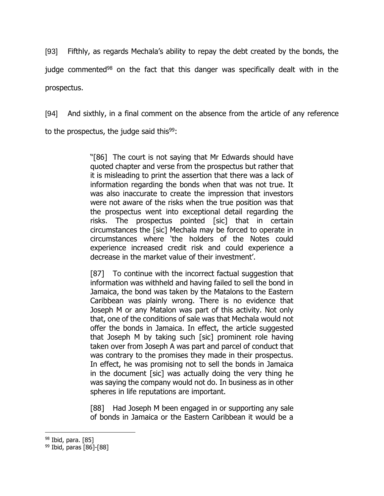[93] Fifthly, as regards Mechala's ability to repay the debt created by the bonds, the judge commented<sup>98</sup> on the fact that this danger was specifically dealt with in the prospectus.

[94] And sixthly, in a final comment on the absence from the article of any reference to the prospectus, the judge said this $99$ :

> "[86] The court is not saying that Mr Edwards should have quoted chapter and verse from the prospectus but rather that it is misleading to print the assertion that there was a lack of information regarding the bonds when that was not true. It was also inaccurate to create the impression that investors were not aware of the risks when the true position was that the prospectus went into exceptional detail regarding the risks. The prospectus pointed [sic] that in certain circumstances the [sic] Mechala may be forced to operate in circumstances where 'the holders of the Notes could experience increased credit risk and could experience a decrease in the market value of their investment'.

> [87] To continue with the incorrect factual suggestion that information was withheld and having failed to sell the bond in Jamaica, the bond was taken by the Matalons to the Eastern Caribbean was plainly wrong. There is no evidence that Joseph M or any Matalon was part of this activity. Not only that, one of the conditions of sale was that Mechala would not offer the bonds in Jamaica. In effect, the article suggested that Joseph M by taking such [sic] prominent role having taken over from Joseph A was part and parcel of conduct that was contrary to the promises they made in their prospectus. In effect, he was promising not to sell the bonds in Jamaica in the document [sic] was actually doing the very thing he was saying the company would not do. In business as in other spheres in life reputations are important.

> [88] Had Joseph M been engaged in or supporting any sale of bonds in Jamaica or the Eastern Caribbean it would be a

<sup>98</sup> Ibid, para. [85]

<sup>99</sup> Ibid, paras [86]-[88]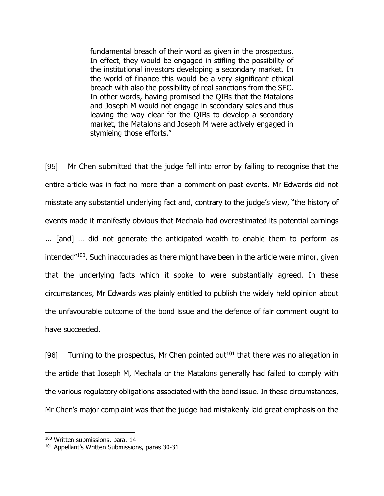fundamental breach of their word as given in the prospectus. In effect, they would be engaged in stifling the possibility of the institutional investors developing a secondary market. In the world of finance this would be a very significant ethical breach with also the possibility of real sanctions from the SEC. In other words, having promised the QIBs that the Matalons and Joseph M would not engage in secondary sales and thus leaving the way clear for the QIBs to develop a secondary market, the Matalons and Joseph M were actively engaged in stymieing those efforts."

[95] Mr Chen submitted that the judge fell into error by failing to recognise that the entire article was in fact no more than a comment on past events. Mr Edwards did not misstate any substantial underlying fact and, contrary to the judge's view, "the history of events made it manifestly obvious that Mechala had overestimated its potential earnings ... [and] … did not generate the anticipated wealth to enable them to perform as intended"<sup>100</sup>. Such inaccuracies as there might have been in the article were minor, given that the underlying facts which it spoke to were substantially agreed. In these circumstances, Mr Edwards was plainly entitled to publish the widely held opinion about the unfavourable outcome of the bond issue and the defence of fair comment ought to have succeeded.

[96] Turning to the prospectus, Mr Chen pointed out<sup>101</sup> that there was no allegation in the article that Joseph M, Mechala or the Matalons generally had failed to comply with the various regulatory obligations associated with the bond issue. In these circumstances, Mr Chen's major complaint was that the judge had mistakenly laid great emphasis on the

<sup>100</sup> Written submissions, para. 14

<sup>&</sup>lt;sup>101</sup> Appellant's Written Submissions, paras 30-31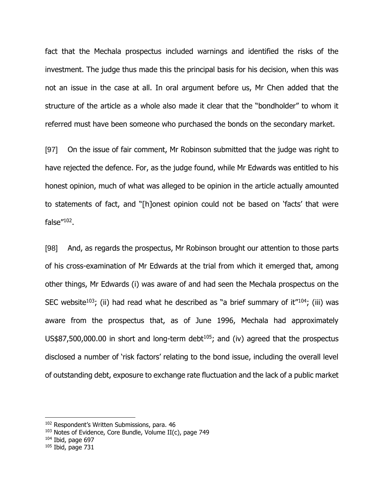fact that the Mechala prospectus included warnings and identified the risks of the investment. The judge thus made this the principal basis for his decision, when this was not an issue in the case at all. In oral argument before us, Mr Chen added that the structure of the article as a whole also made it clear that the "bondholder" to whom it referred must have been someone who purchased the bonds on the secondary market.

[97] On the issue of fair comment, Mr Robinson submitted that the judge was right to have rejected the defence. For, as the judge found, while Mr Edwards was entitled to his honest opinion, much of what was alleged to be opinion in the article actually amounted to statements of fact, and "[h]onest opinion could not be based on 'facts' that were false"<sup>102</sup>.

[98] And, as regards the prospectus, Mr Robinson brought our attention to those parts of his cross-examination of Mr Edwards at the trial from which it emerged that, among other things, Mr Edwards (i) was aware of and had seen the Mechala prospectus on the SEC website<sup>103</sup>; (ii) had read what he described as "a brief summary of it<sup> $n_{104}$ </sup>; (iii) was aware from the prospectus that, as of June 1996, Mechala had approximately  $US$87,500,000.00$  in short and long-term debt<sup>105</sup>; and (iv) agreed that the prospectus disclosed a number of 'risk factors' relating to the bond issue, including the overall level of outstanding debt, exposure to exchange rate fluctuation and the lack of a public market

 $104$  Ibid, page 697

<sup>102</sup> Respondent's Written Submissions, para. 46

 $103$  Notes of Evidence, Core Bundle, Volume II(c), page 749

 $105$  Ibid, page 731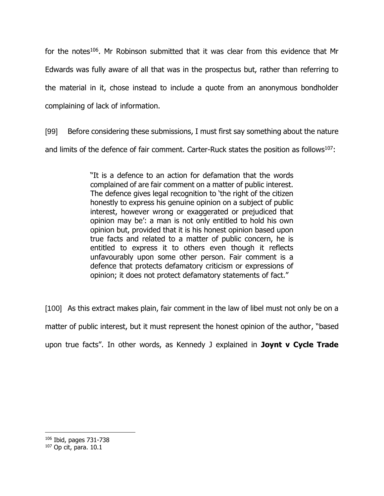for the notes<sup>106</sup>. Mr Robinson submitted that it was clear from this evidence that Mr Edwards was fully aware of all that was in the prospectus but, rather than referring to the material in it, chose instead to include a quote from an anonymous bondholder complaining of lack of information.

[99] Before considering these submissions, I must first say something about the nature and limits of the defence of fair comment. Carter-Ruck states the position as follows<sup>107</sup>:

> "It is a defence to an action for defamation that the words complained of are fair comment on a matter of public interest. The defence gives legal recognition to 'the right of the citizen honestly to express his genuine opinion on a subject of public interest, however wrong or exaggerated or prejudiced that opinion may be': a man is not only entitled to hold his own opinion but, provided that it is his honest opinion based upon true facts and related to a matter of public concern, he is entitled to express it to others even though it reflects unfavourably upon some other person. Fair comment is a defence that protects defamatory criticism or expressions of opinion; it does not protect defamatory statements of fact."

[100] As this extract makes plain, fair comment in the law of libel must not only be on a matter of public interest, but it must represent the honest opinion of the author, "based upon true facts". In other words, as Kennedy J explained in **Joynt v Cycle Trade** 

<sup>106</sup> Ibid, pages 731-738

<sup>107</sup> Op cit, para. 10.1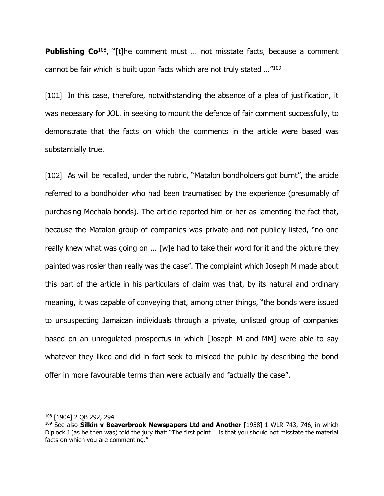**Publishing Co**<sup>108</sup>, "Itlhe comment must ... not misstate facts, because a comment cannot be fair which is built upon facts which are not truly stated …"<sup>109</sup>

[101] In this case, therefore, notwithstanding the absence of a plea of justification, it was necessary for JOL, in seeking to mount the defence of fair comment successfully, to demonstrate that the facts on which the comments in the article were based was substantially true.

[102] As will be recalled, under the rubric, "Matalon bondholders got burnt", the article referred to a bondholder who had been traumatised by the experience (presumably of purchasing Mechala bonds). The article reported him or her as lamenting the fact that, because the Matalon group of companies was private and not publicly listed, "no one really knew what was going on ... [w]e had to take their word for it and the picture they painted was rosier than really was the case". The complaint which Joseph M made about this part of the article in his particulars of claim was that, by its natural and ordinary meaning, it was capable of conveying that, among other things, "the bonds were issued to unsuspecting Jamaican individuals through a private, unlisted group of companies based on an unregulated prospectus in which [Joseph M and MM] were able to say whatever they liked and did in fact seek to mislead the public by describing the bond offer in more favourable terms than were actually and factually the case".

<sup>108</sup> [1904] 2 QB 292, 294

<sup>109</sup> See also **Silkin v Beaverbrook Newspapers Ltd and Another** [1958] 1 WLR 743, 746, in which Diplock J (as he then was) told the jury that: "The first point … is that you should not misstate the material facts on which you are commenting."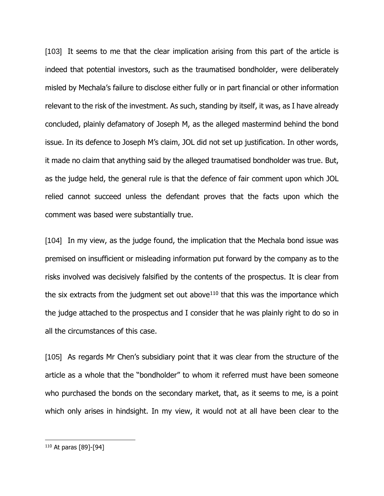[103] It seems to me that the clear implication arising from this part of the article is indeed that potential investors, such as the traumatised bondholder, were deliberately misled by Mechala's failure to disclose either fully or in part financial or other information relevant to the risk of the investment. As such, standing by itself, it was, as I have already concluded, plainly defamatory of Joseph M, as the alleged mastermind behind the bond issue. In its defence to Joseph M's claim, JOL did not set up justification. In other words, it made no claim that anything said by the alleged traumatised bondholder was true. But, as the judge held, the general rule is that the defence of fair comment upon which JOL relied cannot succeed unless the defendant proves that the facts upon which the comment was based were substantially true.

[104] In my view, as the judge found, the implication that the Mechala bond issue was premised on insufficient or misleading information put forward by the company as to the risks involved was decisively falsified by the contents of the prospectus. It is clear from the six extracts from the judgment set out above $110$  that this was the importance which the judge attached to the prospectus and I consider that he was plainly right to do so in all the circumstances of this case.

[105] As regards Mr Chen's subsidiary point that it was clear from the structure of the article as a whole that the "bondholder" to whom it referred must have been someone who purchased the bonds on the secondary market, that, as it seems to me, is a point which only arises in hindsight. In my view, it would not at all have been clear to the

<sup>110</sup> At paras [89]-[94]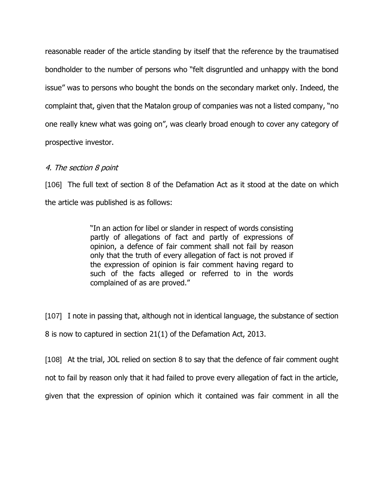reasonable reader of the article standing by itself that the reference by the traumatised bondholder to the number of persons who "felt disgruntled and unhappy with the bond issue" was to persons who bought the bonds on the secondary market only. Indeed, the complaint that, given that the Matalon group of companies was not a listed company, "no one really knew what was going on", was clearly broad enough to cover any category of prospective investor.

### 4. The section 8 point

[106] The full text of section 8 of the Defamation Act as it stood at the date on which the article was published is as follows:

> "In an action for libel or slander in respect of words consisting partly of allegations of fact and partly of expressions of opinion, a defence of fair comment shall not fail by reason only that the truth of every allegation of fact is not proved if the expression of opinion is fair comment having regard to such of the facts alleged or referred to in the words complained of as are proved."

[107] I note in passing that, although not in identical language, the substance of section

8 is now to captured in section 21(1) of the Defamation Act, 2013.

[108] At the trial, JOL relied on section 8 to say that the defence of fair comment ought

not to fail by reason only that it had failed to prove every allegation of fact in the article,

given that the expression of opinion which it contained was fair comment in all the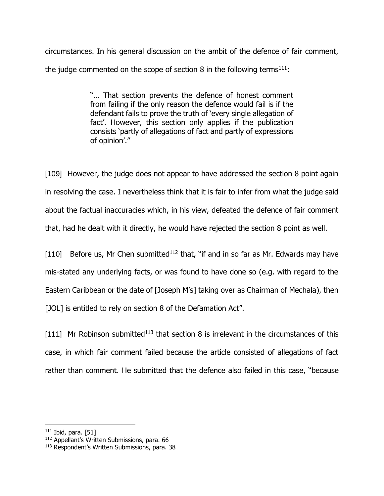circumstances. In his general discussion on the ambit of the defence of fair comment, the judge commented on the scope of section 8 in the following terms<sup>111</sup>:

> "… That section prevents the defence of honest comment from failing if the only reason the defence would fail is if the defendant fails to prove the truth of 'every single allegation of fact'. However, this section only applies if the publication consists 'partly of allegations of fact and partly of expressions of opinion'."

[109] However, the judge does not appear to have addressed the section 8 point again in resolving the case. I nevertheless think that it is fair to infer from what the judge said about the factual inaccuracies which, in his view, defeated the defence of fair comment that, had he dealt with it directly, he would have rejected the section 8 point as well.

[110] Before us, Mr Chen submitted<sup>112</sup> that, "if and in so far as Mr. Edwards may have mis-stated any underlying facts, or was found to have done so (e.g. with regard to the Eastern Caribbean or the date of [Joseph M's] taking over as Chairman of Mechala), then [JOL] is entitled to rely on section 8 of the Defamation Act".

[111] Mr Robinson submitted<sup>113</sup> that section 8 is irrelevant in the circumstances of this case, in which fair comment failed because the article consisted of allegations of fact rather than comment. He submitted that the defence also failed in this case, "because

 $111$  Ibid, para. [51]

<sup>112</sup> Appellant's Written Submissions, para. 66

<sup>113</sup> Respondent's Written Submissions, para. 38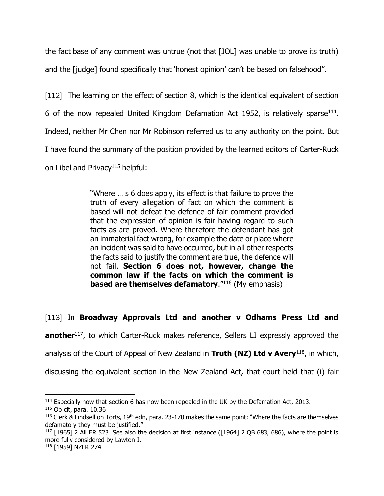the fact base of any comment was untrue (not that [JOL] was unable to prove its truth)

and the [judge] found specifically that 'honest opinion' can't be based on falsehood".

[112] The learning on the effect of section 8, which is the identical equivalent of section 6 of the now repealed United Kingdom Defamation Act 1952, is relatively sparse<sup>114</sup>. Indeed, neither Mr Chen nor Mr Robinson referred us to any authority on the point. But I have found the summary of the position provided by the learned editors of Carter-Ruck on Libel and Privacy<sup>115</sup> helpful:

> "Where … s 6 does apply, its effect is that failure to prove the truth of every allegation of fact on which the comment is based will not defeat the defence of fair comment provided that the expression of opinion is fair having regard to such facts as are proved. Where therefore the defendant has got an immaterial fact wrong, for example the date or place where an incident was said to have occurred, but in all other respects the facts said to justify the comment are true, the defence will not fail. **Section 6 does not, however, change the common law if the facts on which the comment is based are themselves defamatory.**"116 (My emphasis)

[113] In **Broadway Approvals Ltd and another v Odhams Press Ltd and** 

**another**<sup>117</sup>, to which Carter-Ruck makes reference, Sellers LJ expressly approved the

analysis of the Court of Appeal of New Zealand in **Truth (NZ) Ltd v Avery**<sup>118</sup>, in which,

discussing the equivalent section in the New Zealand Act, that court held that (i) fair

<sup>&</sup>lt;sup>114</sup> Especially now that section 6 has now been repealed in the UK by the Defamation Act, 2013.

<sup>115</sup> Op cit, para. 10.36

 $116$  Clerk & Lindsell on Torts, 19<sup>th</sup> edn, para. 23-170 makes the same point: "Where the facts are themselves defamatory they must be justified."

 $117$  [1965] 2 All ER 523. See also the decision at first instance ([1964] 2 QB 683, 686), where the point is more fully considered by Lawton J.

<sup>118</sup> [1959] NZLR 274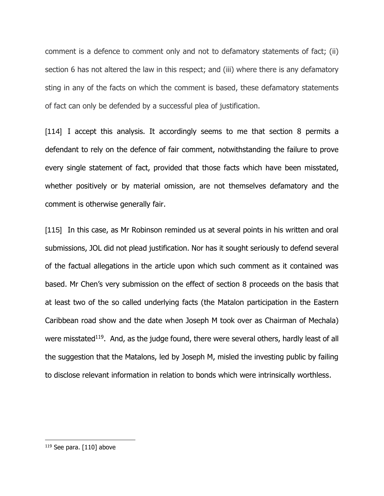comment is a defence to comment only and not to defamatory statements of fact; (ii) section 6 has not altered the law in this respect; and (iii) where there is any defamatory sting in any of the facts on which the comment is based, these defamatory statements of fact can only be defended by a successful plea of justification.

[114] I accept this analysis. It accordingly seems to me that section 8 permits a defendant to rely on the defence of fair comment, notwithstanding the failure to prove every single statement of fact, provided that those facts which have been misstated, whether positively or by material omission, are not themselves defamatory and the comment is otherwise generally fair.

[115] In this case, as Mr Robinson reminded us at several points in his written and oral submissions, JOL did not plead justification. Nor has it sought seriously to defend several of the factual allegations in the article upon which such comment as it contained was based. Mr Chen's very submission on the effect of section 8 proceeds on the basis that at least two of the so called underlying facts (the Matalon participation in the Eastern Caribbean road show and the date when Joseph M took over as Chairman of Mechala) were misstated<sup>119</sup>. And, as the judge found, there were several others, hardly least of all the suggestion that the Matalons, led by Joseph M, misled the investing public by failing to disclose relevant information in relation to bonds which were intrinsically worthless.

<sup>119</sup> See para. [110] above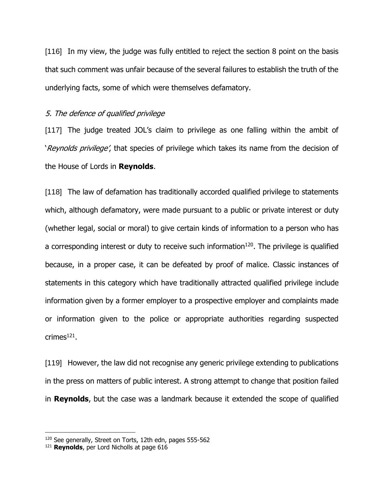[116] In my view, the judge was fully entitled to reject the section 8 point on the basis that such comment was unfair because of the several failures to establish the truth of the underlying facts, some of which were themselves defamatory.

#### 5. The defence of qualified privilege

[117] The judge treated JOL's claim to privilege as one falling within the ambit of 'Reynolds privilege', that species of privilege which takes its name from the decision of the House of Lords in **Reynolds**.

[118] The law of defamation has traditionally accorded qualified privilege to statements which, although defamatory, were made pursuant to a public or private interest or duty (whether legal, social or moral) to give certain kinds of information to a person who has a corresponding interest or duty to receive such information $^{120}$ . The privilege is qualified because, in a proper case, it can be defeated by proof of malice. Classic instances of statements in this category which have traditionally attracted qualified privilege include information given by a former employer to a prospective employer and complaints made or information given to the police or appropriate authorities regarding suspected crimes $^{121}$ .

[119] However, the law did not recognise any generic privilege extending to publications in the press on matters of public interest. A strong attempt to change that position failed in **Reynolds**, but the case was a landmark because it extended the scope of qualified

<sup>120</sup> See generally, Street on Torts, 12th edn, pages 555-562

<sup>121</sup> **Reynolds**, per Lord Nicholls at page 616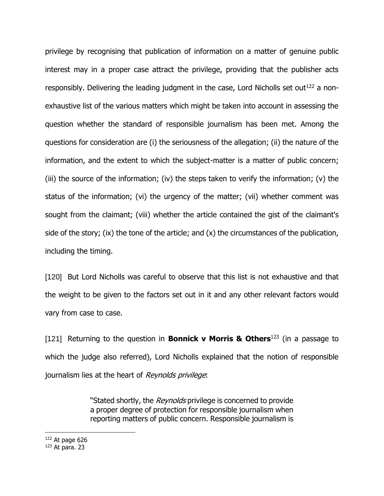privilege by recognising that publication of information on a matter of genuine public interest may in a proper case attract the privilege, providing that the publisher acts responsibly. Delivering the leading judgment in the case, Lord Nicholls set out<sup>122</sup> a nonexhaustive list of the various matters which might be taken into account in assessing the question whether the standard of responsible journalism has been met. Among the questions for consideration are (i) the seriousness of the allegation; (ii) the nature of the information, and the extent to which the subject-matter is a matter of public concern; (iii) the source of the information; (iv) the steps taken to verify the information; (v) the status of the information; (vi) the urgency of the matter; (vii) whether comment was sought from the claimant; (viii) whether the article contained the gist of the claimant's side of the story; (ix) the tone of the article; and (x) the circumstances of the publication, including the timing.

[120] But Lord Nicholls was careful to observe that this list is not exhaustive and that the weight to be given to the factors set out in it and any other relevant factors would vary from case to case.

[121] Returning to the question in **Bonnick v Morris & Others**<sup>123</sup> (in a passage to which the judge also referred), Lord Nicholls explained that the notion of responsible journalism lies at the heart of Reynolds privilege:

> "Stated shortly, the Reynolds privilege is concerned to provide a proper degree of protection for responsible journalism when reporting matters of public concern. Responsible journalism is

 $122$  At page 626

<sup>123</sup> At para. 23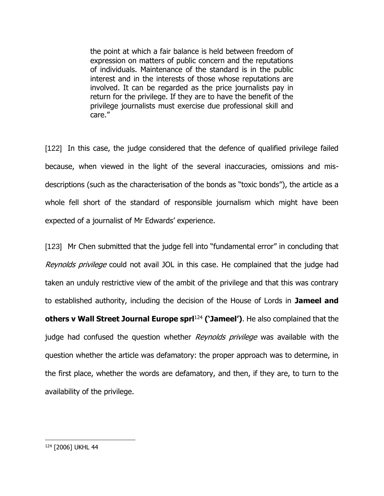the point at which a fair balance is held between freedom of expression on matters of public concern and the reputations of individuals. Maintenance of the standard is in the public interest and in the interests of those whose reputations are involved. It can be regarded as the price journalists pay in return for the privilege. If they are to have the benefit of the privilege journalists must exercise due professional skill and care."

[122] In this case, the judge considered that the defence of qualified privilege failed because, when viewed in the light of the several inaccuracies, omissions and misdescriptions (such as the characterisation of the bonds as "toxic bonds"), the article as a whole fell short of the standard of responsible journalism which might have been expected of a journalist of Mr Edwards' experience.

[123] Mr Chen submitted that the judge fell into "fundamental error" in concluding that Reynolds privilege could not avail JOL in this case. He complained that the judge had taken an unduly restrictive view of the ambit of the privilege and that this was contrary to established authority, including the decision of the House of Lords in **Jameel and others v Wall Street Journal Europe sprl**<sup>124</sup> **('Jameel')**. He also complained that the judge had confused the question whether *Reynolds privilege* was available with the question whether the article was defamatory: the proper approach was to determine, in the first place, whether the words are defamatory, and then, if they are, to turn to the availability of the privilege.

<sup>124</sup> [2006] UKHL 44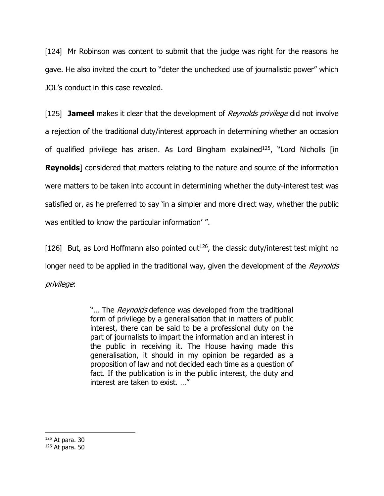[124] Mr Robinson was content to submit that the judge was right for the reasons he gave. He also invited the court to "deter the unchecked use of journalistic power" which JOL's conduct in this case revealed.

[125] **Jameel** makes it clear that the development of *Reynolds privilege* did not involve a rejection of the traditional duty/interest approach in determining whether an occasion of qualified privilege has arisen. As Lord Bingham explained<sup>125</sup>, "Lord Nicholls [in **Reynolds**] considered that matters relating to the nature and source of the information were matters to be taken into account in determining whether the duty-interest test was satisfied or, as he preferred to say 'in a simpler and more direct way, whether the public was entitled to know the particular information' ".

[126] But, as Lord Hoffmann also pointed out<sup>126</sup>, the classic duty/interest test might no longer need to be applied in the traditional way, given the development of the Reynolds privilege:

> "... The *Reynolds* defence was developed from the traditional form of privilege by a generalisation that in matters of public interest, there can be said to be a professional duty on the part of journalists to impart the information and an interest in the public in receiving it. The House having made this generalisation, it should in my opinion be regarded as a proposition of law and not decided each time as a question of fact. If the publication is in the public interest, the duty and interest are taken to exist. …"

<sup>125</sup> At para. 30

<sup>126</sup> At para. 50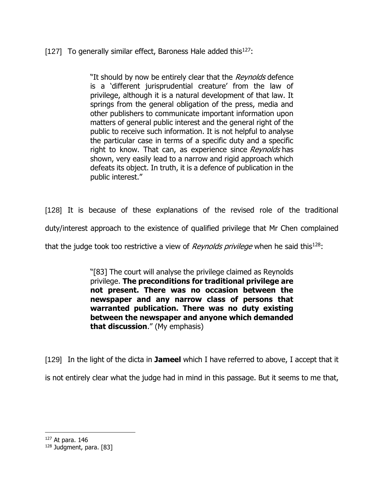[127] To generally similar effect, Baroness Hale added this<sup>127</sup>:

"It should by now be entirely clear that the Reynolds defence is a 'different jurisprudential creature' from the law of privilege, although it is a natural development of that law. It springs from the general obligation of the press, media and other publishers to communicate important information upon matters of general public interest and the general right of the public to receive such information. It is not helpful to analyse the particular case in terms of a specific duty and a specific right to know. That can, as experience since Reynolds has shown, very easily lead to a narrow and rigid approach which defeats its object. In truth, it is a defence of publication in the public interest."

[128] It is because of these explanations of the revised role of the traditional

duty/interest approach to the existence of qualified privilege that Mr Chen complained

that the judge took too restrictive a view of *Reynolds privilege* when he said this<sup>128</sup>:

"[83] The court will analyse the privilege claimed as Reynolds privilege. **The preconditions for traditional privilege are not present. There was no occasion between the newspaper and any narrow class of persons that warranted publication. There was no duty existing between the newspaper and anyone which demanded that discussion**." (My emphasis)

[129] In the light of the dicta in **Jameel** which I have referred to above, I accept that it is not entirely clear what the judge had in mind in this passage. But it seems to me that,

<sup>127</sup> At para. 146

<sup>128</sup> Judgment, para. [83]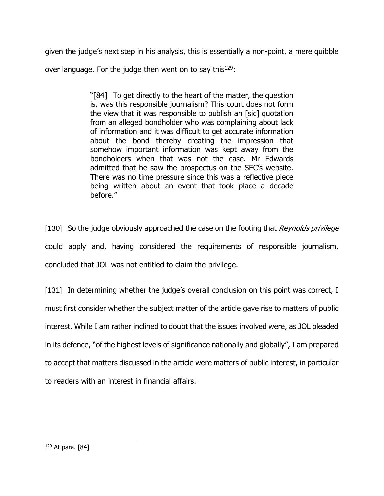given the judge's next step in his analysis, this is essentially a non-point, a mere quibble

over language. For the judge then went on to say this<sup>129</sup>:

"[84] To get directly to the heart of the matter, the question is, was this responsible journalism? This court does not form the view that it was responsible to publish an [sic] quotation from an alleged bondholder who was complaining about lack of information and it was difficult to get accurate information about the bond thereby creating the impression that somehow important information was kept away from the bondholders when that was not the case. Mr Edwards admitted that he saw the prospectus on the SEC's website. There was no time pressure since this was a reflective piece being written about an event that took place a decade before."

[130] So the judge obviously approached the case on the footing that Reynolds privilege could apply and, having considered the requirements of responsible journalism, concluded that JOL was not entitled to claim the privilege.

[131] In determining whether the judge's overall conclusion on this point was correct, I must first consider whether the subject matter of the article gave rise to matters of public interest. While I am rather inclined to doubt that the issues involved were, as JOL pleaded in its defence, "of the highest levels of significance nationally and globally", I am prepared to accept that matters discussed in the article were matters of public interest, in particular to readers with an interest in financial affairs.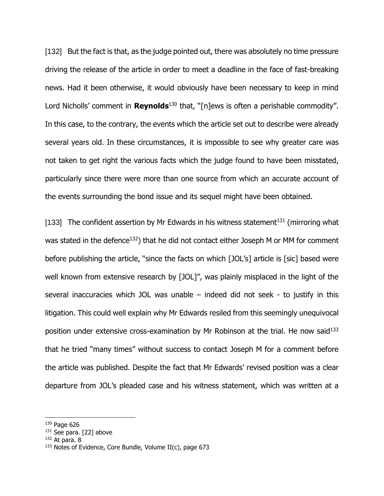[132] But the fact is that, as the judge pointed out, there was absolutely no time pressure driving the release of the article in order to meet a deadline in the face of fast-breaking news. Had it been otherwise, it would obviously have been necessary to keep in mind Lord Nicholls' comment in **Reynolds**<sup>130</sup> that, "[n]ews is often a perishable commodity". In this case, to the contrary, the events which the article set out to describe were already several years old. In these circumstances, it is impossible to see why greater care was not taken to get right the various facts which the judge found to have been misstated, particularly since there were more than one source from which an accurate account of the events surrounding the bond issue and its sequel might have been obtained.

[133] The confident assertion by Mr Edwards in his witness statement<sup>131</sup> (mirroring what was stated in the defence<sup>132</sup>) that he did not contact either Joseph M or MM for comment before publishing the article, "since the facts on which [JOL's] article is [sic] based were well known from extensive research by [JOL]", was plainly misplaced in the light of the several inaccuracies which JOL was unable – indeed did not seek - to justify in this litigation. This could well explain why Mr Edwards resiled from this seemingly unequivocal position under extensive cross-examination by Mr Robinson at the trial. He now said<sup>133</sup> that he tried "many times" without success to contact Joseph M for a comment before the article was published. Despite the fact that Mr Edwards' revised position was a clear departure from JOL's pleaded case and his witness statement, which was written at a

 $132$  At para. 8

<sup>130</sup> Page 626

<sup>&</sup>lt;sup>131</sup> See para. [22] above

 $133$  Notes of Evidence, Core Bundle, Volume II(c), page 673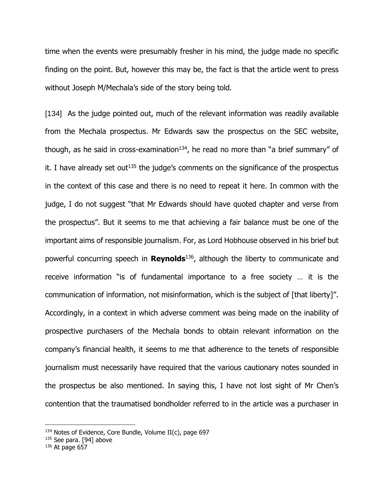time when the events were presumably fresher in his mind, the judge made no specific finding on the point. But, however this may be, the fact is that the article went to press without Joseph M/Mechala's side of the story being told.

[134] As the judge pointed out, much of the relevant information was readily available from the Mechala prospectus. Mr Edwards saw the prospectus on the SEC website, though, as he said in cross-examination<sup>134</sup>, he read no more than "a brief summary" of it. I have already set out<sup>135</sup> the judge's comments on the significance of the prospectus in the context of this case and there is no need to repeat it here. In common with the judge, I do not suggest "that Mr Edwards should have quoted chapter and verse from the prospectus". But it seems to me that achieving a fair balance must be one of the important aims of responsible journalism. For, as Lord Hobhouse observed in his brief but powerful concurring speech in **Reynolds**<sup>136</sup> , although the liberty to communicate and receive information "is of fundamental importance to a free society … it is the communication of information, not misinformation, which is the subject of [that liberty]". Accordingly, in a context in which adverse comment was being made on the inability of prospective purchasers of the Mechala bonds to obtain relevant information on the company's financial health, it seems to me that adherence to the tenets of responsible journalism must necessarily have required that the various cautionary notes sounded in the prospectus be also mentioned. In saying this, I have not lost sight of Mr Chen's contention that the traumatised bondholder referred to in the article was a purchaser in

 $134$  Notes of Evidence, Core Bundle, Volume II(c), page 697

<sup>135</sup> See para. [94] above

 $136$  At page 657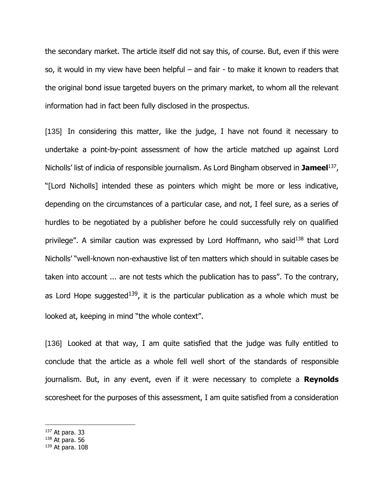the secondary market. The article itself did not say this, of course. But, even if this were so, it would in my view have been helpful – and fair - to make it known to readers that the original bond issue targeted buyers on the primary market, to whom all the relevant information had in fact been fully disclosed in the prospectus.

[135] In considering this matter, like the judge, I have not found it necessary to undertake a point-by-point assessment of how the article matched up against Lord Nicholls' list of indicia of responsible journalism. As Lord Bingham observed in **Jameel**<sup>137</sup> , "[Lord Nicholls] intended these as pointers which might be more or less indicative, depending on the circumstances of a particular case, and not, I feel sure, as a series of hurdles to be negotiated by a publisher before he could successfully rely on qualified privilege". A similar caution was expressed by Lord Hoffmann, who said<sup>138</sup> that Lord Nicholls' "well-known non-exhaustive list of ten matters which should in suitable cases be taken into account ... are not tests which the publication has to pass". To the contrary, as Lord Hope suggested<sup>139</sup>, it is the particular publication as a whole which must be looked at, keeping in mind "the whole context".

[136] Looked at that way, I am quite satisfied that the judge was fully entitled to conclude that the article as a whole fell well short of the standards of responsible journalism. But, in any event, even if it were necessary to complete a **Reynolds** scoresheet for the purposes of this assessment, I am quite satisfied from a consideration

- <sup>137</sup> At para. 33
- <sup>138</sup> At para. 56

<sup>139</sup> At para. 108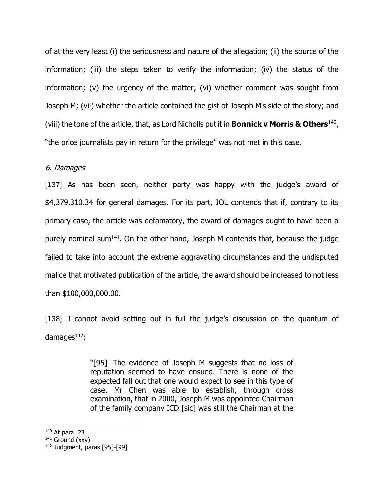of at the very least (i) the seriousness and nature of the allegation; (ii) the source of the information; (iii) the steps taken to verify the information; (iv) the status of the information; (v) the urgency of the matter; (vi) whether comment was sought from Joseph M; (vii) whether the article contained the gist of Joseph M's side of the story; and (viii) the tone of the article, that, as Lord Nicholls put it in **Bonnick v Morris & Others**<sup>140</sup> , "the price journalists pay in return for the privilege" was not met in this case.

#### 6. Damages

[137] As has been seen, neither party was happy with the judge's award of \$4,379,310.34 for general damages. For its part, JOL contends that if, contrary to its primary case, the article was defamatory, the award of damages ought to have been a purely nominal sum<sup>141</sup>. On the other hand, Joseph M contends that, because the judge failed to take into account the extreme aggravating circumstances and the undisputed malice that motivated publication of the article, the award should be increased to not less than \$100,000,000.00.

[138] I cannot avoid setting out in full the judge's discussion on the quantum of damages $142$ :

> "[95] The evidence of Joseph M suggests that no loss of reputation seemed to have ensued. There is none of the expected fall out that one would expect to see in this type of case. Mr Chen was able to establish, through cross examination, that in 2000, Joseph M was appointed Chairman of the family company ICD [sic] was still the Chairman at the

<sup>140</sup> At para. 23

<sup>141</sup> Ground (xxv)

<sup>142</sup> Judgment, paras [95]-[99]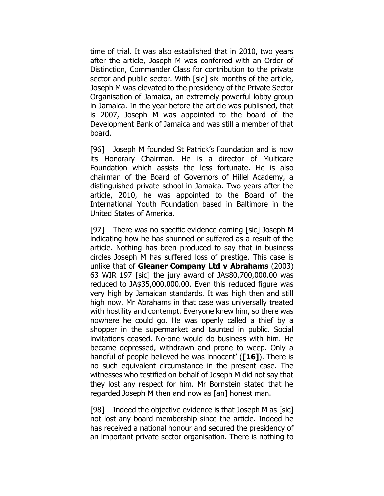time of trial. It was also established that in 2010, two years after the article, Joseph M was conferred with an Order of Distinction, Commander Class for contribution to the private sector and public sector. With [sic] six months of the article, Joseph M was elevated to the presidency of the Private Sector Organisation of Jamaica, an extremely powerful lobby group in Jamaica. In the year before the article was published, that is 2007, Joseph M was appointed to the board of the Development Bank of Jamaica and was still a member of that board.

[96] Joseph M founded St Patrick's Foundation and is now its Honorary Chairman. He is a director of Multicare Foundation which assists the less fortunate. He is also chairman of the Board of Governors of Hillel Academy, a distinguished private school in Jamaica. Two years after the article, 2010, he was appointed to the Board of the International Youth Foundation based in Baltimore in the United States of America.

[97] There was no specific evidence coming [sic] Joseph M indicating how he has shunned or suffered as a result of the article. Nothing has been produced to say that in business circles Joseph M has suffered loss of prestige. This case is unlike that of **Gleaner Company Ltd v Abrahams** (2003) 63 WIR 197 [sic] the jury award of JA\$80,700,000.00 was reduced to JA\$35,000,000.00. Even this reduced figure was very high by Jamaican standards. It was high then and still high now. Mr Abrahams in that case was universally treated with hostility and contempt. Everyone knew him, so there was nowhere he could go. He was openly called a thief by a shopper in the supermarket and taunted in public. Social invitations ceased. No-one would do business with him. He became depressed, withdrawn and prone to weep. Only a handful of people believed he was innocent' (**[16]**). There is no such equivalent circumstance in the present case. The witnesses who testified on behalf of Joseph M did not say that they lost any respect for him. Mr Bornstein stated that he regarded Joseph M then and now as [an] honest man.

[98] Indeed the objective evidence is that Joseph M as [sic] not lost any board membership since the article. Indeed he has received a national honour and secured the presidency of an important private sector organisation. There is nothing to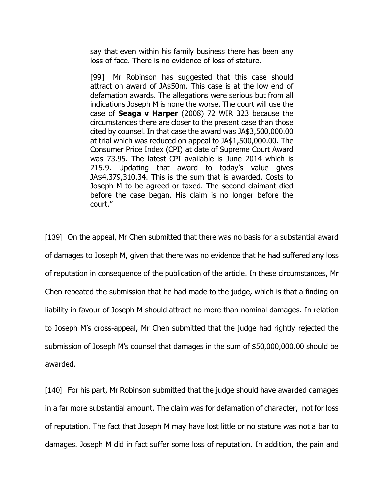say that even within his family business there has been any loss of face. There is no evidence of loss of stature.

[99] Mr Robinson has suggested that this case should attract on award of JA\$50m. This case is at the low end of defamation awards. The allegations were serious but from all indications Joseph M is none the worse. The court will use the case of **Seaga v Harper** (2008) 72 WIR 323 because the circumstances there are closer to the present case than those cited by counsel. In that case the award was JA\$3,500,000.00 at trial which was reduced on appeal to JA\$1,500,000.00. The Consumer Price Index (CPI) at date of Supreme Court Award was 73.95. The latest CPI available is June 2014 which is 215.9. Updating that award to today's value gives JA\$4,379,310.34. This is the sum that is awarded. Costs to Joseph M to be agreed or taxed. The second claimant died before the case began. His claim is no longer before the court."

[139] On the appeal, Mr Chen submitted that there was no basis for a substantial award of damages to Joseph M, given that there was no evidence that he had suffered any loss of reputation in consequence of the publication of the article. In these circumstances, Mr Chen repeated the submission that he had made to the judge, which is that a finding on liability in favour of Joseph M should attract no more than nominal damages. In relation to Joseph M's cross-appeal, Mr Chen submitted that the judge had rightly rejected the submission of Joseph M's counsel that damages in the sum of \$50,000,000.00 should be awarded.

[140] For his part, Mr Robinson submitted that the judge should have awarded damages in a far more substantial amount. The claim was for defamation of character, not for loss of reputation. The fact that Joseph M may have lost little or no stature was not a bar to damages. Joseph M did in fact suffer some loss of reputation. In addition, the pain and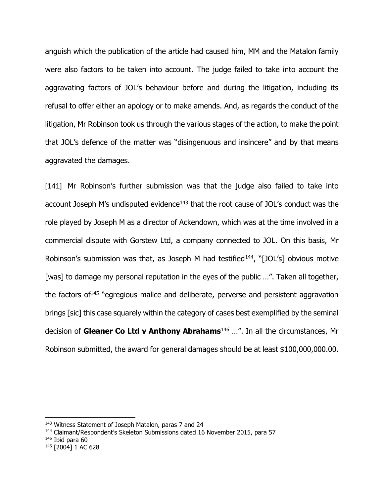anguish which the publication of the article had caused him, MM and the Matalon family were also factors to be taken into account. The judge failed to take into account the aggravating factors of JOL's behaviour before and during the litigation, including its refusal to offer either an apology or to make amends. And, as regards the conduct of the litigation, Mr Robinson took us through the various stages of the action, to make the point that JOL's defence of the matter was "disingenuous and insincere" and by that means aggravated the damages.

[141] Mr Robinson's further submission was that the judge also failed to take into account Joseph M's undisputed evidence $143$  that the root cause of JOL's conduct was the role played by Joseph M as a director of Ackendown, which was at the time involved in a commercial dispute with Gorstew Ltd, a company connected to JOL. On this basis, Mr Robinson's submission was that, as Joseph M had testified<sup>144</sup>, "[JOL's] obvious motive [was] to damage my personal reputation in the eyes of the public ...". Taken all together, the factors of  $145$  "egregious malice and deliberate, perverse and persistent aggravation brings [sic] this case squarely within the category of cases best exemplified by the seminal decision of **Gleaner Co Ltd v Anthony Abrahams**<sup>146</sup> …". In all the circumstances, Mr Robinson submitted, the award for general damages should be at least \$100,000,000.00.

<sup>143</sup> Witness Statement of Joseph Matalon, paras 7 and 24

<sup>&</sup>lt;sup>144</sup> Claimant/Respondent's Skeleton Submissions dated 16 November 2015, para 57

 $145$  Ibid para 60

<sup>146</sup> [2004] 1 AC 628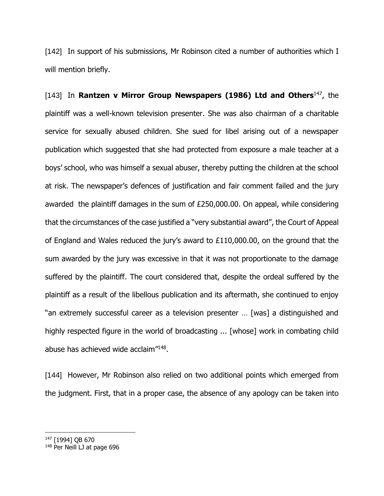[142] In support of his submissions, Mr Robinson cited a number of authorities which I will mention briefly.

[143] In **Rantzen v Mirror Group Newspapers (1986) Ltd and Others**<sup>147</sup> , the plaintiff was a well-known television presenter. She was also chairman of a charitable service for sexually abused children. She sued for libel arising out of a newspaper publication which suggested that she had protected from exposure a male teacher at a boys' school, who was himself a sexual abuser, thereby putting the children at the school at risk. The newspaper's defences of justification and fair comment failed and the jury awarded the plaintiff damages in the sum of £250,000.00. On appeal, while considering that the circumstances of the case justified a "very substantial award", the Court of Appeal of England and Wales reduced the jury's award to £110,000.00, on the ground that the sum awarded by the jury was excessive in that it was not proportionate to the damage suffered by the plaintiff. The court considered that, despite the ordeal suffered by the plaintiff as a result of the libellous publication and its aftermath, she continued to enjoy "an extremely successful career as a television presenter … [was] a distinguished and highly respected figure in the world of broadcasting ... [whose] work in combating child abuse has achieved wide acclaim"<sup>148</sup>.

[144] However, Mr Robinson also relied on two additional points which emerged from the judgment. First, that in a proper case, the absence of any apology can be taken into

<sup>147</sup> [1994] QB 670

<sup>148</sup> Per Neill LJ at page 696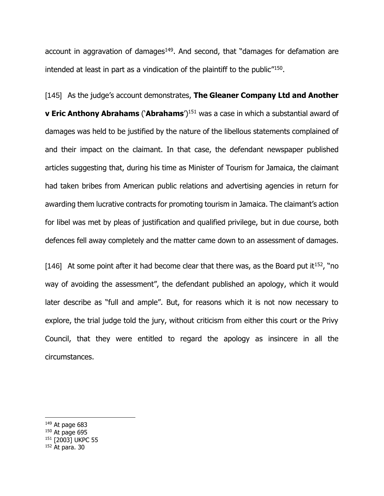account in aggravation of damages<sup>149</sup>. And second, that "damages for defamation are intended at least in part as a vindication of the plaintiff to the public<sup>"150</sup>.

[145] As the judge's account demonstrates, **The Gleaner Company Ltd and Another v Eric Anthony Abrahams** ('**Abrahams**')<sup>151</sup> was a case in which a substantial award of damages was held to be justified by the nature of the libellous statements complained of and their impact on the claimant. In that case, the defendant newspaper published articles suggesting that, during his time as Minister of Tourism for Jamaica, the claimant had taken bribes from American public relations and advertising agencies in return for awarding them lucrative contracts for promoting tourism in Jamaica. The claimant's action for libel was met by pleas of justification and qualified privilege, but in due course, both defences fell away completely and the matter came down to an assessment of damages.

[146] At some point after it had become clear that there was, as the Board put it<sup>152</sup>, "no way of avoiding the assessment", the defendant published an apology, which it would later describe as "full and ample". But, for reasons which it is not now necessary to explore, the trial judge told the jury, without criticism from either this court or the Privy Council, that they were entitled to regard the apology as insincere in all the circumstances.

- $149$  At page 683
- $150$  At page 695
- <sup>151</sup> [2003] UKPC 55
- <sup>152</sup> At para. 30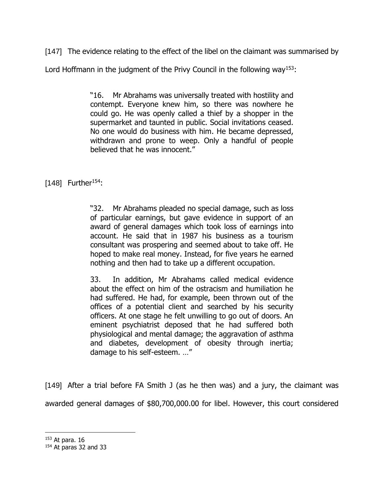[147] The evidence relating to the effect of the libel on the claimant was summarised by

Lord Hoffmann in the judgment of the Privy Council in the following way<sup>153</sup>:

"16. Mr Abrahams was universally treated with hostility and contempt. Everyone knew him, so there was nowhere he could go. He was openly called a thief by a shopper in the supermarket and taunted in public. Social invitations ceased. No one would do business with him. He became depressed, withdrawn and prone to weep. Only a handful of people believed that he was innocent."

[148] Further<sup>154</sup>:

"32. Mr Abrahams pleaded no special damage, such as loss of particular earnings, but gave evidence in support of an award of general damages which took loss of earnings into account. He said that in 1987 his business as a tourism consultant was prospering and seemed about to take off. He hoped to make real money. Instead, for five years he earned nothing and then had to take up a different occupation.

33. In addition, Mr Abrahams called medical evidence about the effect on him of the ostracism and humiliation he had suffered. He had, for example, been thrown out of the offices of a potential client and searched by his security officers. At one stage he felt unwilling to go out of doors. An eminent psychiatrist deposed that he had suffered both physiological and mental damage; the aggravation of asthma and diabetes, development of obesity through inertia; damage to his self-esteem. …"

[149] After a trial before FA Smith J (as he then was) and a jury, the claimant was awarded general damages of \$80,700,000.00 for libel. However, this court considered

<sup>153</sup> At para. 16

<sup>154</sup> At paras 32 and 33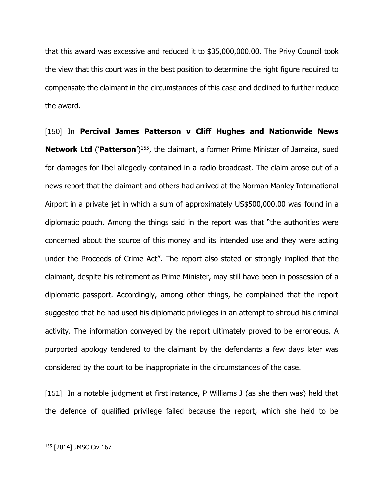that this award was excessive and reduced it to \$35,000,000.00. The Privy Council took the view that this court was in the best position to determine the right figure required to compensate the claimant in the circumstances of this case and declined to further reduce the award.

[150] In **Percival James Patterson v Cliff Hughes and Nationwide News Network Ltd** ('Patterson')<sup>155</sup>, the claimant, a former Prime Minister of Jamaica, sued for damages for libel allegedly contained in a radio broadcast. The claim arose out of a news report that the claimant and others had arrived at the Norman Manley International Airport in a private jet in which a sum of approximately US\$500,000.00 was found in a diplomatic pouch. Among the things said in the report was that "the authorities were concerned about the source of this money and its intended use and they were acting under the Proceeds of Crime Act". The report also stated or strongly implied that the claimant, despite his retirement as Prime Minister, may still have been in possession of a diplomatic passport. Accordingly, among other things, he complained that the report suggested that he had used his diplomatic privileges in an attempt to shroud his criminal activity. The information conveyed by the report ultimately proved to be erroneous. A purported apology tendered to the claimant by the defendants a few days later was considered by the court to be inappropriate in the circumstances of the case.

[151] In a notable judgment at first instance, P Williams J (as she then was) held that the defence of qualified privilege failed because the report, which she held to be

<sup>155</sup> [2014] JMSC Civ 167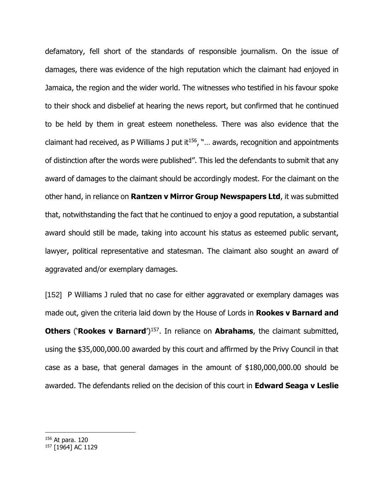defamatory, fell short of the standards of responsible journalism. On the issue of damages, there was evidence of the high reputation which the claimant had enjoyed in Jamaica, the region and the wider world. The witnesses who testified in his favour spoke to their shock and disbelief at hearing the news report, but confirmed that he continued to be held by them in great esteem nonetheless. There was also evidence that the claimant had received, as P Williams J put it<sup>156</sup>, " $\ldots$  awards, recognition and appointments of distinction after the words were published". This led the defendants to submit that any award of damages to the claimant should be accordingly modest. For the claimant on the other hand, in reliance on **Rantzen v Mirror Group Newspapers Ltd**, it was submitted that, notwithstanding the fact that he continued to enjoy a good reputation, a substantial award should still be made, taking into account his status as esteemed public servant, lawyer, political representative and statesman. The claimant also sought an award of aggravated and/or exemplary damages.

[152] P Williams J ruled that no case for either aggravated or exemplary damages was made out, given the criteria laid down by the House of Lords in **Rookes v Barnard and Others ('Rookes v Barnard')**<sup>157</sup>. In reliance on **Abrahams**, the claimant submitted, using the \$35,000,000.00 awarded by this court and affirmed by the Privy Council in that case as a base, that general damages in the amount of \$180,000,000.00 should be awarded. The defendants relied on the decision of this court in **Edward Seaga v Leslie** 

<sup>156</sup> At para. 120

<sup>157</sup> [1964] AC 1129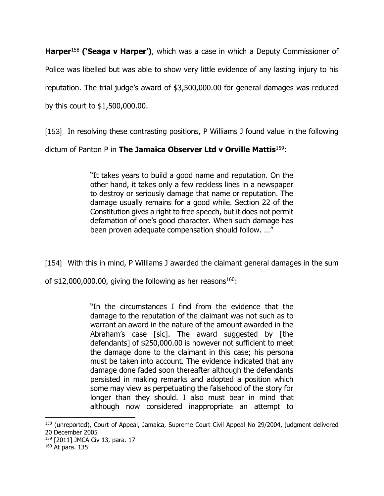**Harper**<sup>158</sup> **('Seaga v Harper')**, which was a case in which a Deputy Commissioner of Police was libelled but was able to show very little evidence of any lasting injury to his reputation. The trial judge's award of \$3,500,000.00 for general damages was reduced by this court to \$1,500,000.00.

[153] In resolving these contrasting positions, P Williams J found value in the following

dictum of Panton P in **The Jamaica Observer Ltd v Orville Mattis**<sup>159</sup>:

"It takes years to build a good name and reputation. On the other hand, it takes only a few reckless lines in a newspaper to destroy or seriously damage that name or reputation. The damage usually remains for a good while. Section 22 of the Constitution gives a right to free speech, but it does not permit defamation of one's good character. When such damage has been proven adequate compensation should follow. …"

[154] With this in mind, P Williams J awarded the claimant general damages in the sum

of \$12,000,000.00, giving the following as her reasons<sup>160</sup>:

"In the circumstances I find from the evidence that the damage to the reputation of the claimant was not such as to warrant an award in the nature of the amount awarded in the Abraham's case [sic]. The award suggested by [the defendants] of \$250,000.00 is however not sufficient to meet the damage done to the claimant in this case; his persona must be taken into account. The evidence indicated that any damage done faded soon thereafter although the defendants persisted in making remarks and adopted a position which some may view as perpetuating the falsehood of the story for longer than they should. I also must bear in mind that although now considered inappropriate an attempt to

<sup>158 (</sup>unreported), Court of Appeal, Jamaica, Supreme Court Civil Appeal No 29/2004, judgment delivered 20 December 2005

<sup>159</sup> [2011] JMCA Civ 13, para. 17

<sup>160</sup> At para. 135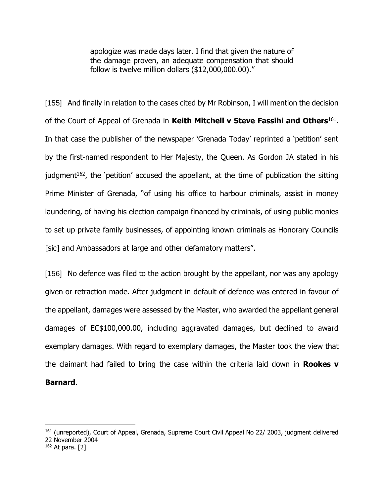apologize was made days later. I find that given the nature of the damage proven, an adequate compensation that should follow is twelve million dollars (\$12,000,000.00)."

[155] And finally in relation to the cases cited by Mr Robinson, I will mention the decision of the Court of Appeal of Grenada in **Keith Mitchell v Steve Fassihi and Others**<sup>161</sup> . In that case the publisher of the newspaper 'Grenada Today' reprinted a 'petition' sent by the first-named respondent to Her Majesty, the Queen. As Gordon JA stated in his judgment<sup>162</sup>, the 'petition' accused the appellant, at the time of publication the sitting Prime Minister of Grenada, "of using his office to harbour criminals, assist in money laundering, of having his election campaign financed by criminals, of using public monies to set up private family businesses, of appointing known criminals as Honorary Councils [sic] and Ambassadors at large and other defamatory matters".

[156] No defence was filed to the action brought by the appellant, nor was any apology given or retraction made. After judgment in default of defence was entered in favour of the appellant, damages were assessed by the Master, who awarded the appellant general damages of EC\$100,000.00, including aggravated damages, but declined to award exemplary damages. With regard to exemplary damages, the Master took the view that the claimant had failed to bring the case within the criteria laid down in **Rookes v Barnard**.

<sup>161</sup> (unreported), Court of Appeal, Grenada, Supreme Court Civil Appeal No 22/ 2003, judgment delivered 22 November 2004

 $162$  At para. [2]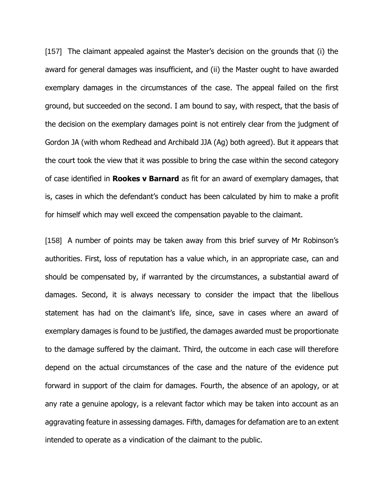[157] The claimant appealed against the Master's decision on the grounds that (i) the award for general damages was insufficient, and (ii) the Master ought to have awarded exemplary damages in the circumstances of the case. The appeal failed on the first ground, but succeeded on the second. I am bound to say, with respect, that the basis of the decision on the exemplary damages point is not entirely clear from the judgment of Gordon JA (with whom Redhead and Archibald JJA (Ag) both agreed). But it appears that the court took the view that it was possible to bring the case within the second category of case identified in **Rookes v Barnard** as fit for an award of exemplary damages, that is, cases in which the defendant's conduct has been calculated by him to make a profit for himself which may well exceed the compensation payable to the claimant.

[158] A number of points may be taken away from this brief survey of Mr Robinson's authorities. First, loss of reputation has a value which, in an appropriate case, can and should be compensated by, if warranted by the circumstances, a substantial award of damages. Second, it is always necessary to consider the impact that the libellous statement has had on the claimant's life, since, save in cases where an award of exemplary damages is found to be justified, the damages awarded must be proportionate to the damage suffered by the claimant. Third, the outcome in each case will therefore depend on the actual circumstances of the case and the nature of the evidence put forward in support of the claim for damages. Fourth, the absence of an apology, or at any rate a genuine apology, is a relevant factor which may be taken into account as an aggravating feature in assessing damages. Fifth, damages for defamation are to an extent intended to operate as a vindication of the claimant to the public.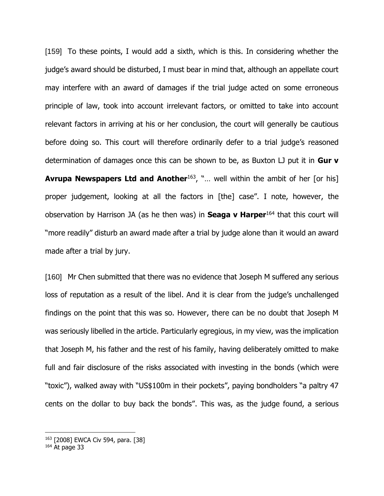[159] To these points, I would add a sixth, which is this. In considering whether the judge's award should be disturbed, I must bear in mind that, although an appellate court may interfere with an award of damages if the trial judge acted on some erroneous principle of law, took into account irrelevant factors, or omitted to take into account relevant factors in arriving at his or her conclusion, the court will generally be cautious before doing so. This court will therefore ordinarily defer to a trial judge's reasoned determination of damages once this can be shown to be, as Buxton LJ put it in **Gur v Avrupa Newspapers Ltd and Another**<sup>163</sup>, "... well within the ambit of her [or his] proper judgement, looking at all the factors in [the] case". I note, however, the observation by Harrison JA (as he then was) in **Seaga v Harper**<sup>164</sup> that this court will "more readily" disturb an award made after a trial by judge alone than it would an award made after a trial by jury.

[160] Mr Chen submitted that there was no evidence that Joseph M suffered any serious loss of reputation as a result of the libel. And it is clear from the judge's unchallenged findings on the point that this was so. However, there can be no doubt that Joseph M was seriously libelled in the article. Particularly egregious, in my view, was the implication that Joseph M, his father and the rest of his family, having deliberately omitted to make full and fair disclosure of the risks associated with investing in the bonds (which were "toxic"), walked away with "US\$100m in their pockets", paying bondholders "a paltry 47 cents on the dollar to buy back the bonds". This was, as the judge found, a serious

<sup>163</sup> [2008] EWCA Civ 594, para. [38]

 $164$  At page 33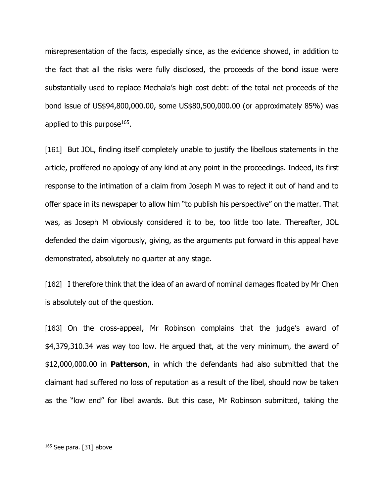misrepresentation of the facts, especially since, as the evidence showed, in addition to the fact that all the risks were fully disclosed, the proceeds of the bond issue were substantially used to replace Mechala's high cost debt: of the total net proceeds of the bond issue of US\$94,800,000.00, some US\$80,500,000.00 (or approximately 85%) was applied to this purpose $^{165}$ .

[161] But JOL, finding itself completely unable to justify the libellous statements in the article, proffered no apology of any kind at any point in the proceedings. Indeed, its first response to the intimation of a claim from Joseph M was to reject it out of hand and to offer space in its newspaper to allow him "to publish his perspective" on the matter. That was, as Joseph M obviously considered it to be, too little too late. Thereafter, JOL defended the claim vigorously, giving, as the arguments put forward in this appeal have demonstrated, absolutely no quarter at any stage.

[162] I therefore think that the idea of an award of nominal damages floated by Mr Chen is absolutely out of the question.

[163] On the cross-appeal, Mr Robinson complains that the judge's award of \$4,379,310.34 was way too low. He argued that, at the very minimum, the award of \$12,000,000.00 in **Patterson**, in which the defendants had also submitted that the claimant had suffered no loss of reputation as a result of the libel, should now be taken as the "low end" for libel awards. But this case, Mr Robinson submitted, taking the

<sup>165</sup> See para. [31] above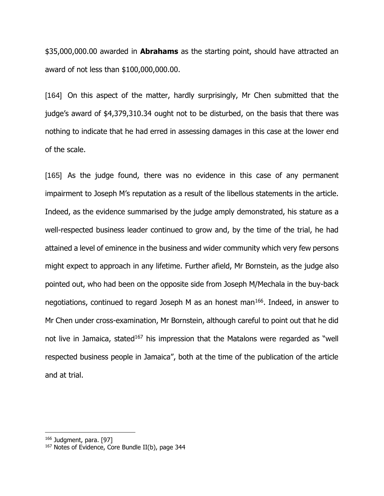\$35,000,000.00 awarded in **Abrahams** as the starting point, should have attracted an award of not less than \$100,000,000.00.

[164] On this aspect of the matter, hardly surprisingly, Mr Chen submitted that the judge's award of \$4,379,310.34 ought not to be disturbed, on the basis that there was nothing to indicate that he had erred in assessing damages in this case at the lower end of the scale.

[165] As the judge found, there was no evidence in this case of any permanent impairment to Joseph M's reputation as a result of the libellous statements in the article. Indeed, as the evidence summarised by the judge amply demonstrated, his stature as a well-respected business leader continued to grow and, by the time of the trial, he had attained a level of eminence in the business and wider community which very few persons might expect to approach in any lifetime. Further afield, Mr Bornstein, as the judge also pointed out, who had been on the opposite side from Joseph M/Mechala in the buy-back negotiations, continued to regard Joseph M as an honest man<sup>166</sup>. Indeed, in answer to Mr Chen under cross-examination, Mr Bornstein, although careful to point out that he did not live in Jamaica, stated<sup>167</sup> his impression that the Matalons were regarded as "well respected business people in Jamaica", both at the time of the publication of the article and at trial.

<sup>&</sup>lt;sup>166</sup> Judgment, para. [97]

<sup>&</sup>lt;sup>167</sup> Notes of Evidence, Core Bundle II(b), page 344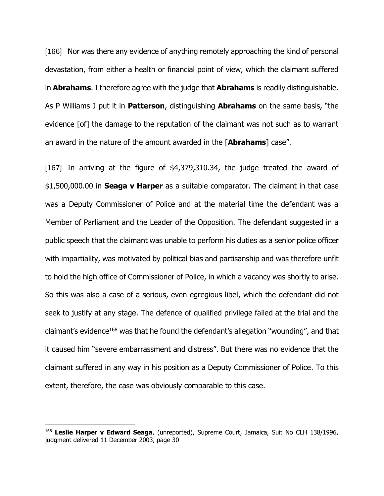[166] Nor was there any evidence of anything remotely approaching the kind of personal devastation, from either a health or financial point of view, which the claimant suffered in **Abrahams**. I therefore agree with the judge that **Abrahams** is readily distinguishable. As P Williams J put it in **Patterson**, distinguishing **Abrahams** on the same basis, "the evidence [of] the damage to the reputation of the claimant was not such as to warrant an award in the nature of the amount awarded in the [**Abrahams**] case".

[167] In arriving at the figure of \$4,379,310.34, the judge treated the award of \$1,500,000.00 in **Seaga v Harper** as a suitable comparator. The claimant in that case was a Deputy Commissioner of Police and at the material time the defendant was a Member of Parliament and the Leader of the Opposition. The defendant suggested in a public speech that the claimant was unable to perform his duties as a senior police officer with impartiality, was motivated by political bias and partisanship and was therefore unfit to hold the high office of Commissioner of Police, in which a vacancy was shortly to arise. So this was also a case of a serious, even egregious libel, which the defendant did not seek to justify at any stage. The defence of qualified privilege failed at the trial and the claimant's evidence<sup>168</sup> was that he found the defendant's allegation "wounding", and that it caused him "severe embarrassment and distress". But there was no evidence that the claimant suffered in any way in his position as a Deputy Commissioner of Police. To this extent, therefore, the case was obviously comparable to this case.

<sup>168</sup> **Leslie Harper v Edward Seaga**, (unreported), Supreme Court, Jamaica, Suit No CLH 138/1996, judgment delivered 11 December 2003, page 30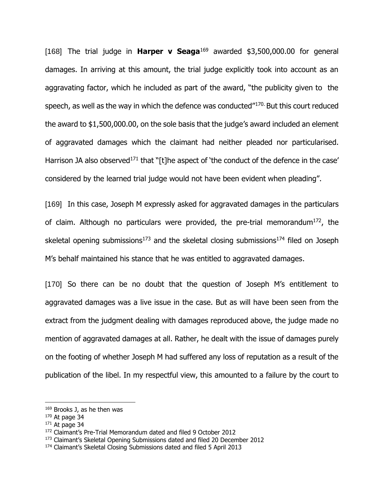[168] The trial judge in **Harper v Seaga**<sup>169</sup> awarded \$3,500,000.00 for general damages. In arriving at this amount, the trial judge explicitly took into account as an aggravating factor, which he included as part of the award, "the publicity given to the speech, as well as the way in which the defence was conducted"170. But this court reduced the award to \$1,500,000.00, on the sole basis that the judge's award included an element of aggravated damages which the claimant had neither pleaded nor particularised. Harrison JA also observed<sup>171</sup> that "[t]he aspect of 'the conduct of the defence in the case' considered by the learned trial judge would not have been evident when pleading".

[169] In this case, Joseph M expressly asked for aggravated damages in the particulars of claim. Although no particulars were provided, the pre-trial memorandum<sup>172</sup>, the skeletal opening submissions<sup>173</sup> and the skeletal closing submissions<sup>174</sup> filed on Joseph M's behalf maintained his stance that he was entitled to aggravated damages.

[170] So there can be no doubt that the question of Joseph M's entitlement to aggravated damages was a live issue in the case. But as will have been seen from the extract from the judgment dealing with damages reproduced above, the judge made no mention of aggravated damages at all. Rather, he dealt with the issue of damages purely on the footing of whether Joseph M had suffered any loss of reputation as a result of the publication of the libel. In my respectful view, this amounted to a failure by the court to

<sup>169</sup> Brooks J, as he then was

 $170$  At page 34

 $171$  At page 34

<sup>172</sup> Claimant's Pre-Trial Memorandum dated and filed 9 October 2012

<sup>173</sup> Claimant's Skeletal Opening Submissions dated and filed 20 December 2012

<sup>174</sup> Claimant's Skeletal Closing Submissions dated and filed 5 April 2013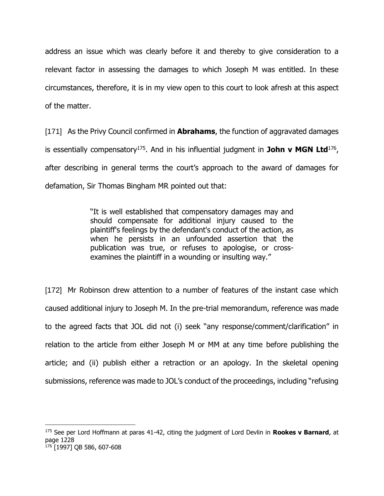address an issue which was clearly before it and thereby to give consideration to a relevant factor in assessing the damages to which Joseph M was entitled. In these circumstances, therefore, it is in my view open to this court to look afresh at this aspect of the matter.

[171] As the Privy Council confirmed in **Abrahams**, the function of aggravated damages is essentially compensatory<sup>175</sup>. And in his influential judgment in John v MGN Ltd<sup>176</sup>, after describing in general terms the court's approach to the award of damages for defamation, Sir Thomas Bingham MR pointed out that:

> "It is well established that compensatory damages may and should compensate for additional injury caused to the plaintiff's feelings by the defendant's conduct of the action, as when he persists in an unfounded assertion that the publication was true, or refuses to apologise, or crossexamines the plaintiff in a wounding or insulting way."

[172] Mr Robinson drew attention to a number of features of the instant case which caused additional injury to Joseph M. In the pre-trial memorandum, reference was made to the agreed facts that JOL did not (i) seek "any response/comment/clarification" in relation to the article from either Joseph M or MM at any time before publishing the article; and (ii) publish either a retraction or an apology. In the skeletal opening submissions, reference was made to JOL's conduct of the proceedings, including "refusing

<sup>175</sup> See per Lord Hoffmann at paras 41-42, citing the judgment of Lord Devlin in **Rookes v Barnard**, at page 1228 <sup>176</sup> [1997] QB 586, 607-608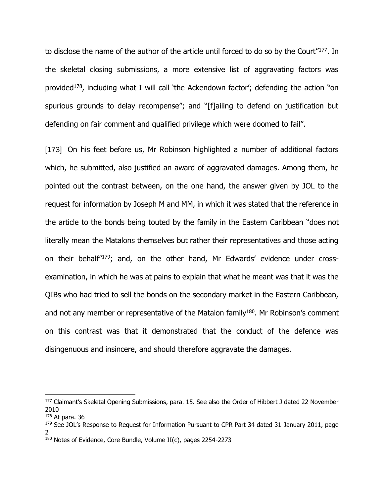to disclose the name of the author of the article until forced to do so by the Court"<sup>177</sup>. In the skeletal closing submissions, a more extensive list of aggravating factors was provided<sup>178</sup>, including what I will call 'the Ackendown factor'; defending the action "on spurious grounds to delay recompense"; and "[f]ailing to defend on justification but defending on fair comment and qualified privilege which were doomed to fail".

[173] On his feet before us, Mr Robinson highlighted a number of additional factors which, he submitted, also justified an award of aggravated damages. Among them, he pointed out the contrast between, on the one hand, the answer given by JOL to the request for information by Joseph M and MM, in which it was stated that the reference in the article to the bonds being touted by the family in the Eastern Caribbean "does not literally mean the Matalons themselves but rather their representatives and those acting on their behalf"179; and, on the other hand, Mr Edwards' evidence under crossexamination, in which he was at pains to explain that what he meant was that it was the QIBs who had tried to sell the bonds on the secondary market in the Eastern Caribbean, and not any member or representative of the Matalon family<sup>180</sup>. Mr Robinson's comment on this contrast was that it demonstrated that the conduct of the defence was disingenuous and insincere, and should therefore aggravate the damages.

<sup>&</sup>lt;sup>177</sup> Claimant's Skeletal Opening Submissions, para. 15. See also the Order of Hibbert J dated 22 November 2010

<sup>178</sup> At para. 36

<sup>&</sup>lt;sup>179</sup> See JOL's Response to Request for Information Pursuant to CPR Part 34 dated 31 January 2011, page 2

<sup>180</sup> Notes of Evidence, Core Bundle, Volume II(c), pages 2254-2273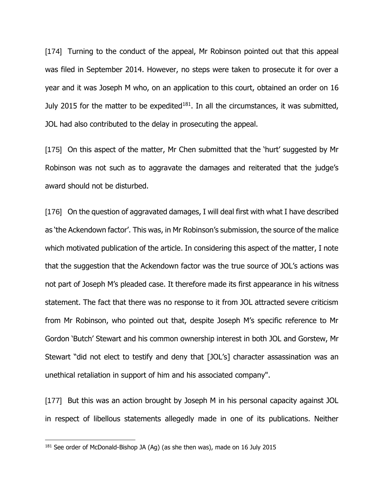[174] Turning to the conduct of the appeal, Mr Robinson pointed out that this appeal was filed in September 2014. However, no steps were taken to prosecute it for over a year and it was Joseph M who, on an application to this court, obtained an order on 16 July 2015 for the matter to be expedited $181$ . In all the circumstances, it was submitted, JOL had also contributed to the delay in prosecuting the appeal.

[175] On this aspect of the matter, Mr Chen submitted that the 'hurt' suggested by Mr Robinson was not such as to aggravate the damages and reiterated that the judge's award should not be disturbed.

[176] On the question of aggravated damages, I will deal first with what I have described as 'the Ackendown factor'. This was, in Mr Robinson's submission, the source of the malice which motivated publication of the article. In considering this aspect of the matter, I note that the suggestion that the Ackendown factor was the true source of JOL's actions was not part of Joseph M's pleaded case. It therefore made its first appearance in his witness statement. The fact that there was no response to it from JOL attracted severe criticism from Mr Robinson, who pointed out that, despite Joseph M's specific reference to Mr Gordon 'Butch' Stewart and his common ownership interest in both JOL and Gorstew, Mr Stewart "did not elect to testify and deny that [JOL's] character assassination was an unethical retaliation in support of him and his associated company".

[177] But this was an action brought by Joseph M in his personal capacity against JOL in respect of libellous statements allegedly made in one of its publications. Neither

<sup>&</sup>lt;sup>181</sup> See order of McDonald-Bishop JA (Ag) (as she then was), made on 16 July 2015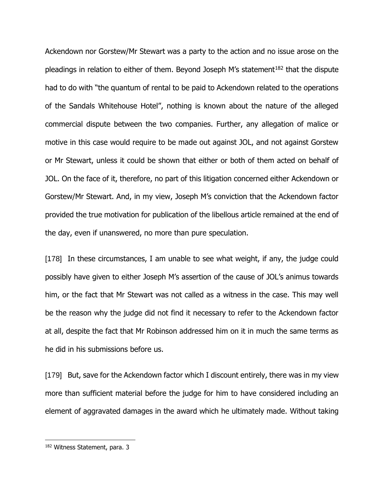Ackendown nor Gorstew/Mr Stewart was a party to the action and no issue arose on the pleadings in relation to either of them. Beyond Joseph M's statement $182$  that the dispute had to do with "the quantum of rental to be paid to Ackendown related to the operations of the Sandals Whitehouse Hotel", nothing is known about the nature of the alleged commercial dispute between the two companies. Further, any allegation of malice or motive in this case would require to be made out against JOL, and not against Gorstew or Mr Stewart, unless it could be shown that either or both of them acted on behalf of JOL. On the face of it, therefore, no part of this litigation concerned either Ackendown or Gorstew/Mr Stewart. And, in my view, Joseph M's conviction that the Ackendown factor provided the true motivation for publication of the libellous article remained at the end of the day, even if unanswered, no more than pure speculation.

[178] In these circumstances, I am unable to see what weight, if any, the judge could possibly have given to either Joseph M's assertion of the cause of JOL's animus towards him, or the fact that Mr Stewart was not called as a witness in the case. This may well be the reason why the judge did not find it necessary to refer to the Ackendown factor at all, despite the fact that Mr Robinson addressed him on it in much the same terms as he did in his submissions before us.

[179] But, save for the Ackendown factor which I discount entirely, there was in my view more than sufficient material before the judge for him to have considered including an element of aggravated damages in the award which he ultimately made. Without taking

<sup>182</sup> Witness Statement, para. 3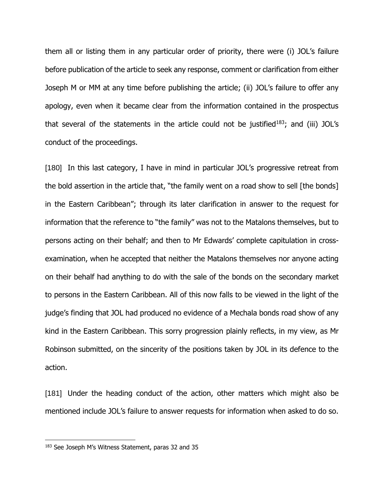them all or listing them in any particular order of priority, there were (i) JOL's failure before publication of the article to seek any response, comment or clarification from either Joseph M or MM at any time before publishing the article; (ii) JOL's failure to offer any apology, even when it became clear from the information contained in the prospectus that several of the statements in the article could not be justified<sup>183</sup>; and (iii) JOL's conduct of the proceedings.

[180] In this last category, I have in mind in particular JOL's progressive retreat from the bold assertion in the article that, "the family went on a road show to sell [the bonds] in the Eastern Caribbean"; through its later clarification in answer to the request for information that the reference to "the family" was not to the Matalons themselves, but to persons acting on their behalf; and then to Mr Edwards' complete capitulation in crossexamination, when he accepted that neither the Matalons themselves nor anyone acting on their behalf had anything to do with the sale of the bonds on the secondary market to persons in the Eastern Caribbean. All of this now falls to be viewed in the light of the judge's finding that JOL had produced no evidence of a Mechala bonds road show of any kind in the Eastern Caribbean. This sorry progression plainly reflects, in my view, as Mr Robinson submitted, on the sincerity of the positions taken by JOL in its defence to the action.

[181] Under the heading conduct of the action, other matters which might also be mentioned include JOL's failure to answer requests for information when asked to do so.

<sup>183</sup> See Joseph M's Witness Statement, paras 32 and 35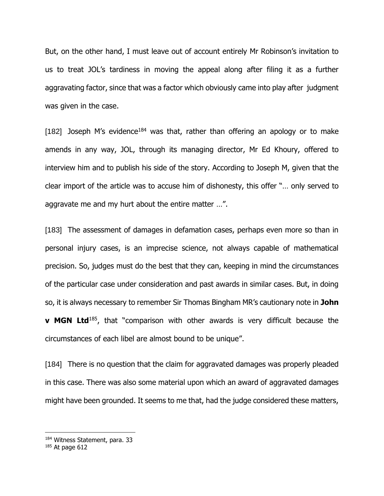But, on the other hand, I must leave out of account entirely Mr Robinson's invitation to us to treat JOL's tardiness in moving the appeal along after filing it as a further aggravating factor, since that was a factor which obviously came into play after judgment was given in the case.

[182] Joseph M's evidence<sup>184</sup> was that, rather than offering an apology or to make amends in any way, JOL, through its managing director, Mr Ed Khoury, offered to interview him and to publish his side of the story. According to Joseph M, given that the clear import of the article was to accuse him of dishonesty, this offer "… only served to aggravate me and my hurt about the entire matter …".

[183] The assessment of damages in defamation cases, perhaps even more so than in personal injury cases, is an imprecise science, not always capable of mathematical precision. So, judges must do the best that they can, keeping in mind the circumstances of the particular case under consideration and past awards in similar cases. But, in doing so, it is always necessary to remember Sir Thomas Bingham MR's cautionary note in **John v MGN Ltd**<sup>185</sup>, that "comparison with other awards is very difficult because the circumstances of each libel are almost bound to be unique".

[184] There is no question that the claim for aggravated damages was properly pleaded in this case. There was also some material upon which an award of aggravated damages might have been grounded. It seems to me that, had the judge considered these matters,

<sup>184</sup> Witness Statement, para. 33

 $185$  At page 612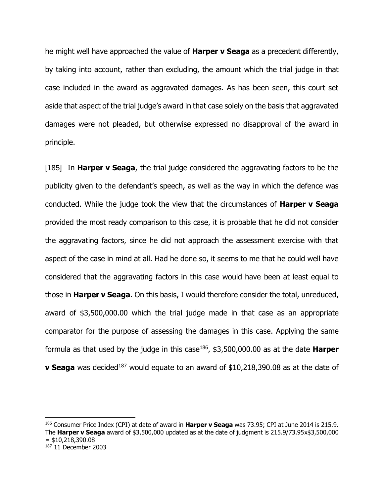he might well have approached the value of **Harper v Seaga** as a precedent differently, by taking into account, rather than excluding, the amount which the trial judge in that case included in the award as aggravated damages. As has been seen, this court set aside that aspect of the trial judge's award in that case solely on the basis that aggravated damages were not pleaded, but otherwise expressed no disapproval of the award in principle.

[185] In **Harper v Seaga**, the trial judge considered the aggravating factors to be the publicity given to the defendant's speech, as well as the way in which the defence was conducted. While the judge took the view that the circumstances of **Harper v Seaga**  provided the most ready comparison to this case, it is probable that he did not consider the aggravating factors, since he did not approach the assessment exercise with that aspect of the case in mind at all. Had he done so, it seems to me that he could well have considered that the aggravating factors in this case would have been at least equal to those in **Harper v Seaga**. On this basis, I would therefore consider the total, unreduced, award of \$3,500,000.00 which the trial judge made in that case as an appropriate comparator for the purpose of assessing the damages in this case. Applying the same formula as that used by the judge in this case<sup>186</sup> , \$3,500,000.00 as at the date **Harper v Seaga** was decided<sup>187</sup> would equate to an award of \$10,218,390.08 as at the date of

<sup>186</sup> Consumer Price Index (CPI) at date of award in **Harper v Seaga** was 73.95; CPI at June 2014 is 215.9. The **Harper v Seaga** award of \$3,500,000 updated as at the date of judgment is 215.9/73.95x\$3,500,000  $=$  \$10,218,390.08 <sup>187</sup> 11 December 2003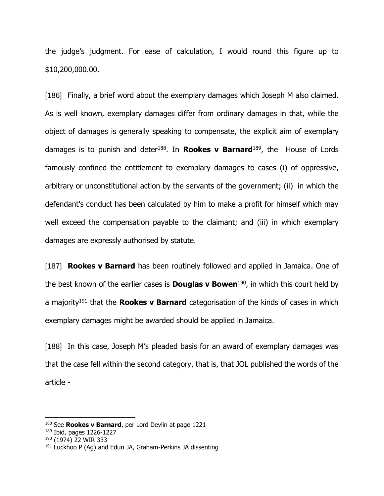the judge's judgment. For ease of calculation, I would round this figure up to \$10,200,000.00.

[186] Finally, a brief word about the exemplary damages which Joseph M also claimed. As is well known, exemplary damages differ from ordinary damages in that, while the object of damages is generally speaking to compensate, the explicit aim of exemplary damages is to punish and deter<sup>188</sup>. In **Rookes v Barnard**<sup>189</sup>, the House of Lords famously confined the entitlement to exemplary damages to cases (i) of oppressive, arbitrary or unconstitutional action by the servants of the government; (ii) in which the defendant's conduct has been calculated by him to make a profit for himself which may well exceed the compensation payable to the claimant; and (iii) in which exemplary damages are expressly authorised by statute.

[187] **Rookes v Barnard** has been routinely followed and applied in Jamaica. One of the best known of the earlier cases is **Douglas v Bowen**<sup>190</sup>, in which this court held by a majority<sup>191</sup> that the **Rookes v Barnard** categorisation of the kinds of cases in which exemplary damages might be awarded should be applied in Jamaica.

[188] In this case, Joseph M's pleaded basis for an award of exemplary damages was that the case fell within the second category, that is, that JOL published the words of the article -

<sup>188</sup> See **Rookes v Barnard**, per Lord Devlin at page 1221

<sup>189</sup> Ibid, pages 1226-1227

<sup>190</sup> (1974) 22 WIR 333

 $191$  Luckhoo P (Ag) and Edun JA, Graham-Perkins JA dissenting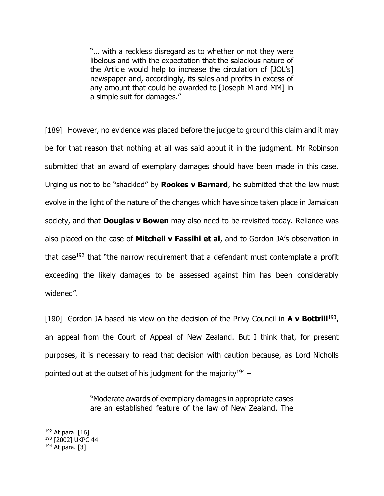"… with a reckless disregard as to whether or not they were libelous and with the expectation that the salacious nature of the Article would help to increase the circulation of [JOL's] newspaper and, accordingly, its sales and profits in excess of any amount that could be awarded to [Joseph M and MM] in a simple suit for damages."

[189] However, no evidence was placed before the judge to ground this claim and it may be for that reason that nothing at all was said about it in the judgment. Mr Robinson submitted that an award of exemplary damages should have been made in this case. Urging us not to be "shackled" by **Rookes v Barnard**, he submitted that the law must evolve in the light of the nature of the changes which have since taken place in Jamaican society, and that **Douglas v Bowen** may also need to be revisited today. Reliance was also placed on the case of **Mitchell v Fassihi et al**, and to Gordon JA's observation in that case<sup>192</sup> that "the narrow requirement that a defendant must contemplate a profit exceeding the likely damages to be assessed against him has been considerably widened".

[190] Gordon JA based his view on the decision of the Privy Council in **A v Bottrill**<sup>193</sup>, an appeal from the Court of Appeal of New Zealand. But I think that, for present purposes, it is necessary to read that decision with caution because, as Lord Nicholls pointed out at the outset of his judgment for the majority<sup>194</sup> –

> "Moderate awards of exemplary damages in appropriate cases are an established feature of the law of New Zealand. The

- $192$  At para. [16]
- <sup>193</sup> [2002] UKPC 44
- $194$  At para. [3]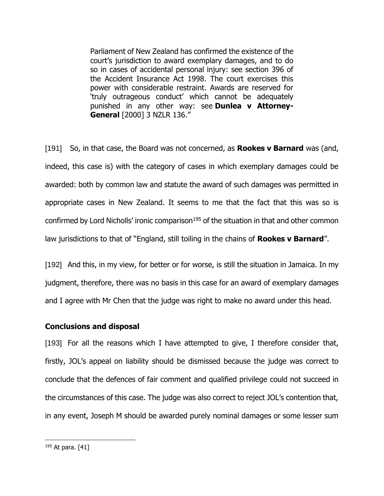Parliament of New Zealand has confirmed the existence of the court's jurisdiction to award exemplary damages, and to do so in cases of accidental personal injury: see section 396 of the Accident Insurance Act 1998. The court exercises this power with considerable restraint. Awards are reserved for 'truly outrageous conduct' which cannot be adequately punished in any other way: see **Dunlea v Attorney-General** [2000] 3 NZLR 136."

[191] So, in that case, the Board was not concerned, as **Rookes v Barnard** was (and, indeed, this case is) with the category of cases in which exemplary damages could be awarded: both by common law and statute the award of such damages was permitted in appropriate cases in New Zealand. It seems to me that the fact that this was so is confirmed by Lord Nicholls' ironic comparison<sup>195</sup> of the situation in that and other common law jurisdictions to that of "England, still toiling in the chains of **Rookes v Barnard**".

[192] And this, in my view, for better or for worse, is still the situation in Jamaica. In my judgment, therefore, there was no basis in this case for an award of exemplary damages and I agree with Mr Chen that the judge was right to make no award under this head.

#### **Conclusions and disposal**

[193] For all the reasons which I have attempted to give, I therefore consider that, firstly, JOL's appeal on liability should be dismissed because the judge was correct to conclude that the defences of fair comment and qualified privilege could not succeed in the circumstances of this case. The judge was also correct to reject JOL's contention that, in any event, Joseph M should be awarded purely nominal damages or some lesser sum

<sup>195</sup> At para. [41]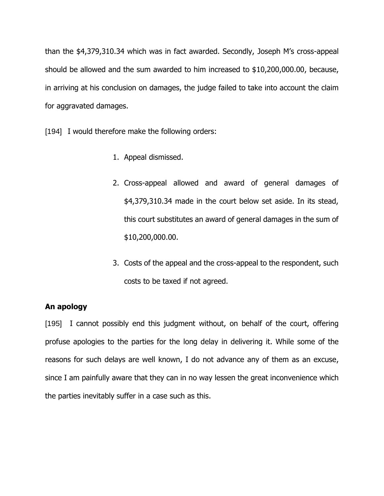than the \$4,379,310.34 which was in fact awarded. Secondly, Joseph M's cross-appeal should be allowed and the sum awarded to him increased to \$10,200,000.00, because, in arriving at his conclusion on damages, the judge failed to take into account the claim for aggravated damages.

[194] I would therefore make the following orders:

- 1. Appeal dismissed.
- 2. Cross-appeal allowed and award of general damages of \$4,379,310.34 made in the court below set aside. In its stead, this court substitutes an award of general damages in the sum of \$10,200,000.00.
- 3. Costs of the appeal and the cross-appeal to the respondent, such costs to be taxed if not agreed.

# **An apology**

[195] I cannot possibly end this judgment without, on behalf of the court, offering profuse apologies to the parties for the long delay in delivering it. While some of the reasons for such delays are well known, I do not advance any of them as an excuse, since I am painfully aware that they can in no way lessen the great inconvenience which the parties inevitably suffer in a case such as this.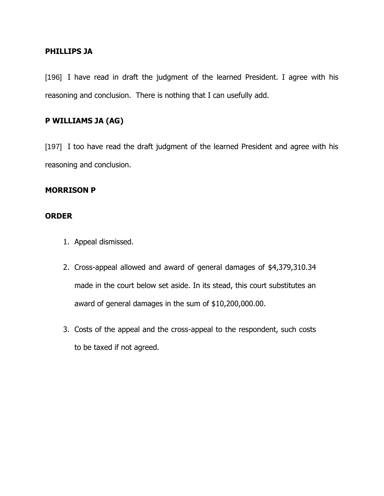### **PHILLIPS JA**

[196] I have read in draft the judgment of the learned President. I agree with his reasoning and conclusion. There is nothing that I can usefully add.

## **P WILLIAMS JA (AG)**

[197] I too have read the draft judgment of the learned President and agree with his reasoning and conclusion.

### **MORRISON P**

### **ORDER**

- 1. Appeal dismissed.
- 2. Cross-appeal allowed and award of general damages of \$4,379,310.34 made in the court below set aside. In its stead, this court substitutes an award of general damages in the sum of \$10,200,000.00.
- 3. Costs of the appeal and the cross-appeal to the respondent, such costs to be taxed if not agreed.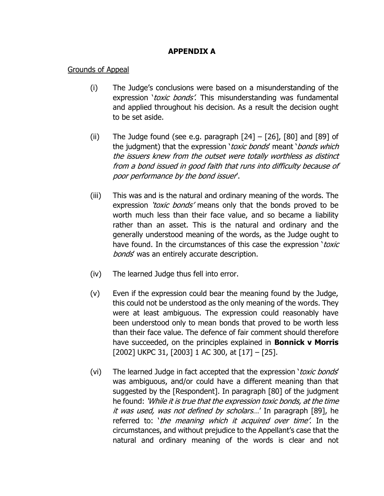# **APPENDIX A**

## Grounds of Appeal

- (i) The Judge's conclusions were based on a misunderstanding of the expression 'toxic bonds'. This misunderstanding was fundamental and applied throughout his decision. As a result the decision ought to be set aside.
- (ii) The Judge found (see e.g. paragraph  $[24] [26]$ ,  $[80]$  and  $[89]$  of the judgment) that the expression 'toxic bonds' meant 'bonds which the issuers knew from the outset were totally worthless as distinct from a bond issued in good faith that runs into difficulty because of poor performance by the bond issuer'.
- (iii) This was and is the natural and ordinary meaning of the words. The expression 'toxic bonds' means only that the bonds proved to be worth much less than their face value, and so became a liability rather than an asset. This is the natural and ordinary and the generally understood meaning of the words, as the Judge ought to have found. In the circumstances of this case the expression 'toxic bonds' was an entirely accurate description.
- (iv) The learned Judge thus fell into error.
- (v) Even if the expression could bear the meaning found by the Judge, this could not be understood as the only meaning of the words. They were at least ambiguous. The expression could reasonably have been understood only to mean bonds that proved to be worth less than their face value. The defence of fair comment should therefore have succeeded, on the principles explained in **Bonnick v Morris** [2002] UKPC 31, [2003] 1 AC 300, at [17] – [25].
- (vi) The learned Judge in fact accepted that the expression 'toxic bonds' was ambiguous, and/or could have a different meaning than that suggested by the [Respondent]. In paragraph [80] of the judgment he found: 'While it is true that the expression toxic bonds, at the time it was used, was not defined by scholars...' In paragraph [89], he referred to: 'the meaning which it acquired over time'. In the circumstances, and without prejudice to the Appellant's case that the natural and ordinary meaning of the words is clear and not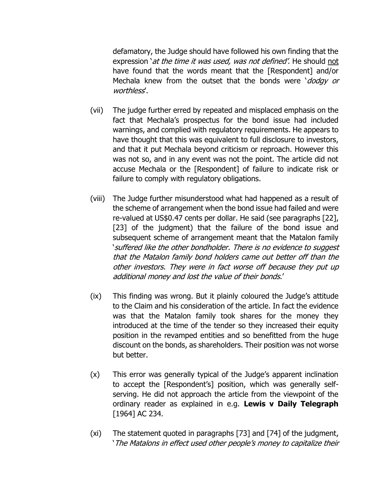defamatory, the Judge should have followed his own finding that the expression *`at the time it was used, was not defined'*. He should not have found that the words meant that the [Respondent] and/or Mechala knew from the outset that the bonds were 'dodgy or worthless'.

- (vii) The judge further erred by repeated and misplaced emphasis on the fact that Mechala's prospectus for the bond issue had included warnings, and complied with regulatory requirements. He appears to have thought that this was equivalent to full disclosure to investors, and that it put Mechala beyond criticism or reproach. However this was not so, and in any event was not the point. The article did not accuse Mechala or the [Respondent] of failure to indicate risk or failure to comply with regulatory obligations.
- (viii) The Judge further misunderstood what had happened as a result of the scheme of arrangement when the bond issue had failed and were re-valued at US\$0.47 cents per dollar. He said (see paragraphs [22], [23] of the judgment) that the failure of the bond issue and subsequent scheme of arrangement meant that the Matalon family 'suffered like the other bondholder. There is no evidence to suggest that the Matalon family bond holders came out better off than the other investors. They were in fact worse off because they put up additional money and lost the value of their bonds.'
- (ix) This finding was wrong. But it plainly coloured the Judge's attitude to the Claim and his consideration of the article. In fact the evidence was that the Matalon family took shares for the money they introduced at the time of the tender so they increased their equity position in the revamped entities and so benefitted from the huge discount on the bonds, as shareholders. Their position was not worse but better.
- (x) This error was generally typical of the Judge's apparent inclination to accept the [Respondent's] position, which was generally selfserving. He did not approach the article from the viewpoint of the ordinary reader as explained in e.g. **Lewis v Daily Telegraph** [1964] AC 234.
- (xi) The statement quoted in paragraphs [73] and [74] of the judgment, 'The Matalons in effect used other people's money to capitalize their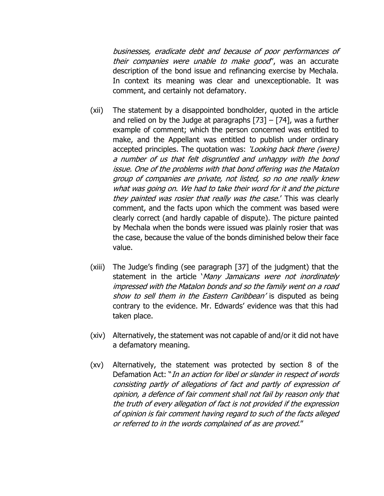businesses, eradicate debt and because of poor performances of their companies were unable to make good', was an accurate description of the bond issue and refinancing exercise by Mechala. In context its meaning was clear and unexceptionable. It was comment, and certainly not defamatory.

- (xii) The statement by a disappointed bondholder, quoted in the article and relied on by the Judge at paragraphs  $[73] - [74]$ , was a further example of comment; which the person concerned was entitled to make, and the Appellant was entitled to publish under ordinary accepted principles. The quotation was: 'Looking back there (were) a number of us that felt disgruntled and unhappy with the bond issue. One of the problems with that bond offering was the Matalon group of companies are private, not listed, so no one really knew what was going on. We had to take their word for it and the picture they painted was rosier that really was the case.' This was clearly comment, and the facts upon which the comment was based were clearly correct (and hardly capable of dispute). The picture painted by Mechala when the bonds were issued was plainly rosier that was the case, because the value of the bonds diminished below their face value.
- (xiii) The Judge's finding (see paragraph [37] of the judgment) that the statement in the article 'Many Jamaicans were not inordinately impressed with the Matalon bonds and so the family went on a road show to sell them in the Eastern Caribbean' is disputed as being contrary to the evidence. Mr. Edwards' evidence was that this had taken place.
- (xiv) Alternatively, the statement was not capable of and/or it did not have a defamatory meaning.
- (xv) Alternatively, the statement was protected by section 8 of the Defamation Act: "In an action for libel or slander in respect of words consisting partly of allegations of fact and partly of expression of opinion, a defence of fair comment shall not fail by reason only that the truth of every allegation of fact is not provided if the expression of opinion is fair comment having regard to such of the facts alleged or referred to in the words complained of as are proved."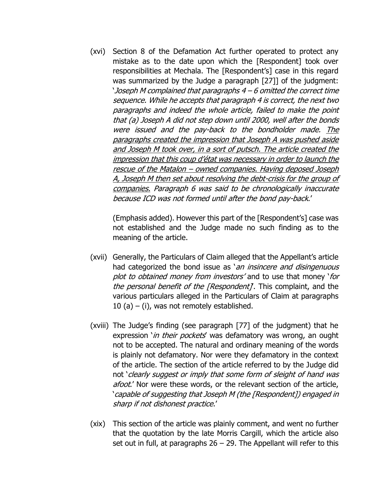(xvi) Section 8 of the Defamation Act further operated to protect any mistake as to the date upon which the [Respondent] took over responsibilities at Mechala. The [Respondent's] case in this regard was summarized by the Judge a paragraph [27]] of the judgment: 'Joseph M complained that paragraphs 4 – 6 omitted the correct time sequence. While he accepts that paragraph 4 is correct, the next two paragraphs and indeed the whole article, failed to make the point that (a) Joseph A did not step down until 2000, well after the bonds were issued and the pay-back to the bondholder made. The paragraphs created the impression that Joseph A was pushed aside and Joseph M took over, in a sort of putsch. The article created the impression that this coup d'état was necessary in order to launch the rescue of the Matalon – owned companies. Having deposed Joseph A, Joseph M then set about resolving the debt-crisis for the group of companies. Paragraph 6 was said to be chronologically inaccurate because ICD was not formed until after the bond pay-back.'

(Emphasis added). However this part of the [Respondent's] case was not established and the Judge made no such finding as to the meaning of the article.

- (xvii) Generally, the Particulars of Claim alleged that the Appellant's article had categorized the bond issue as 'an insincere and disingenuous plot to obtained money from investors' and to use that money 'for the personal benefit of the [Respondent]. This complaint, and the various particulars alleged in the Particulars of Claim at paragraphs 10 (a) – (i), was not remotely established.
- (xviii) The Judge's finding (see paragraph [77] of the judgment) that he expression '*in their pockets'* was defamatory was wrong, an ought not to be accepted. The natural and ordinary meaning of the words is plainly not defamatory. Nor were they defamatory in the context of the article. The section of the article referred to by the Judge did not 'clearly suggest or imply that some form of sleight of hand was afoot.' Nor were these words, or the relevant section of the article, 'capable of suggesting that Joseph M (the [Respondent]) engaged in sharp if not dishonest practice.'
- (xix) This section of the article was plainly comment, and went no further that the quotation by the late Morris Cargill, which the article also set out in full, at paragraphs  $26 - 29$ . The Appellant will refer to this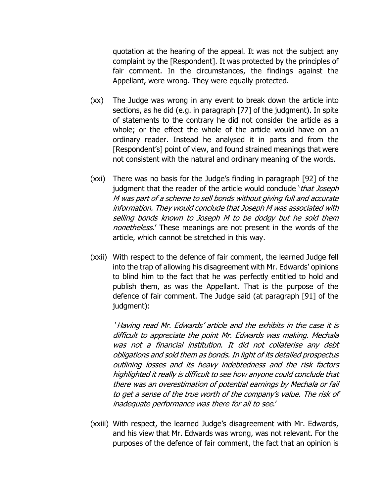quotation at the hearing of the appeal. It was not the subject any complaint by the [Respondent]. It was protected by the principles of fair comment. In the circumstances, the findings against the Appellant, were wrong. They were equally protected.

- (xx) The Judge was wrong in any event to break down the article into sections, as he did (e.g. in paragraph [77] of the judgment). In spite of statements to the contrary he did not consider the article as a whole; or the effect the whole of the article would have on an ordinary reader. Instead he analysed it in parts and from the [Respondent's] point of view, and found strained meanings that were not consistent with the natural and ordinary meaning of the words.
- (xxi) There was no basis for the Judge's finding in paragraph [92] of the judgment that the reader of the article would conclude 'that Joseph M was part of a scheme to sell bonds without giving full and accurate information. They would conclude that Joseph M was associated with selling bonds known to Joseph M to be dodgy but he sold them nonetheless.' These meanings are not present in the words of the article, which cannot be stretched in this way.
- (xxii) With respect to the defence of fair comment, the learned Judge fell into the trap of allowing his disagreement with Mr. Edwards' opinions to blind him to the fact that he was perfectly entitled to hold and publish them, as was the Appellant. That is the purpose of the defence of fair comment. The Judge said (at paragraph [91] of the judgment):

'Having read Mr. Edwards' article and the exhibits in the case it is difficult to appreciate the point Mr. Edwards was making. Mechala was not a financial institution. It did not collaterise any debt obligations and sold them as bonds. In light of its detailed prospectus outlining losses and its heavy indebtedness and the risk factors highlighted it really is difficult to see how anyone could conclude that there was an overestimation of potential earnings by Mechala or fail to get a sense of the true worth of the company's value. The risk of inadequate performance was there for all to see.'

(xxiii) With respect, the learned Judge's disagreement with Mr. Edwards, and his view that Mr. Edwards was wrong, was not relevant. For the purposes of the defence of fair comment, the fact that an opinion is